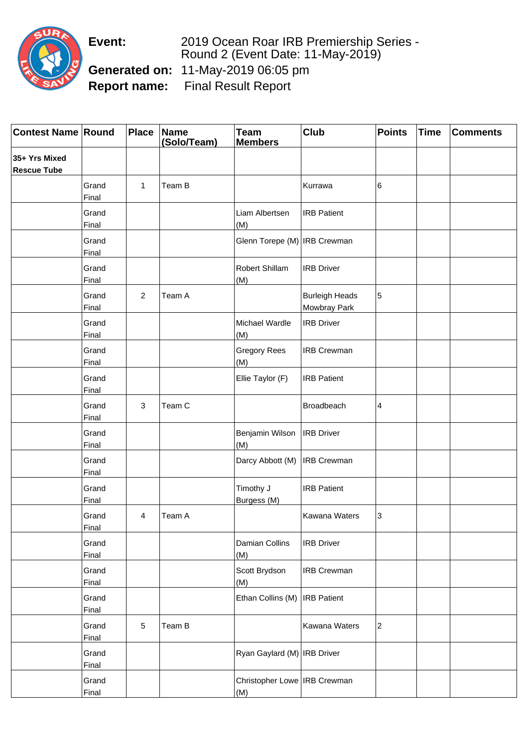**Event:** 2019 Ocean Roar IRB Premiership Series - Round 2 (Event Date: 11-May-2019) **Generated on:** 11-May-2019 06:05 pm **Report name:** Final Result Report

| <b>Contest Name Round</b>           |                       | <b>Place</b> | Name<br>(Solo/Team) | <b>Team</b><br><b>Members</b>         | Club                                  | <b>Points</b>    | <b>Time</b> | <b>Comments</b> |
|-------------------------------------|-----------------------|--------------|---------------------|---------------------------------------|---------------------------------------|------------------|-------------|-----------------|
| 35+ Yrs Mixed<br><b>Rescue Tube</b> |                       |              |                     |                                       |                                       |                  |             |                 |
|                                     | Grand<br>Final        | 1            | Team B              |                                       | Kurrawa                               | 6                |             |                 |
|                                     | Grand<br>Final        |              |                     | Liam Albertsen<br>(M)                 | <b>IRB Patient</b>                    |                  |             |                 |
|                                     | Grand<br>Final        |              |                     | Glenn Torepe (M)   IRB Crewman        |                                       |                  |             |                 |
|                                     | Grand<br>Final        |              |                     | Robert Shillam<br>(M)                 | <b>IRB Driver</b>                     |                  |             |                 |
|                                     | Grand<br>Final        | 2            | Team A              |                                       | <b>Burleigh Heads</b><br>Mowbray Park | 5                |             |                 |
|                                     | Grand<br>Final        |              |                     | Michael Wardle<br>(M)                 | <b>IRB Driver</b>                     |                  |             |                 |
|                                     | Grand<br>Final        |              |                     | <b>Gregory Rees</b><br>(M)            | <b>IRB Crewman</b>                    |                  |             |                 |
|                                     | Grand<br>Final        |              |                     | Ellie Taylor (F)                      | <b>IRB Patient</b>                    |                  |             |                 |
|                                     | Grand<br>Final        | 3            | Team C              |                                       | Broadbeach                            | 4                |             |                 |
|                                     | Grand<br>Final        |              |                     | Benjamin Wilson<br>(M)                | <b>IRB Driver</b>                     |                  |             |                 |
|                                     | Grand<br>Final        |              |                     | Darcy Abbott (M)                      | <b>IRB Crewman</b>                    |                  |             |                 |
|                                     | Grand<br>Final        |              |                     | Timothy J<br>Burgess (M)              | <b>IRB Patient</b>                    |                  |             |                 |
|                                     | Grand<br><b>Final</b> | 4            | Team A              |                                       | Kawana Waters                         | 3                |             |                 |
|                                     | Grand<br>Final        |              |                     | Damian Collins<br>(M)                 | <b>IRB Driver</b>                     |                  |             |                 |
|                                     | Grand<br>Final        |              |                     | Scott Brydson<br>(M)                  | <b>IRB Crewman</b>                    |                  |             |                 |
|                                     | Grand<br>Final        |              |                     | Ethan Collins (M)                     | <b>IRB</b> Patient                    |                  |             |                 |
|                                     | Grand<br>Final        | 5            | Team B              |                                       | Kawana Waters                         | $\boldsymbol{2}$ |             |                 |
|                                     | Grand<br><b>Final</b> |              |                     | Ryan Gaylard (M)   IRB Driver         |                                       |                  |             |                 |
|                                     | Grand<br>Final        |              |                     | Christopher Lowe   IRB Crewman<br>(M) |                                       |                  |             |                 |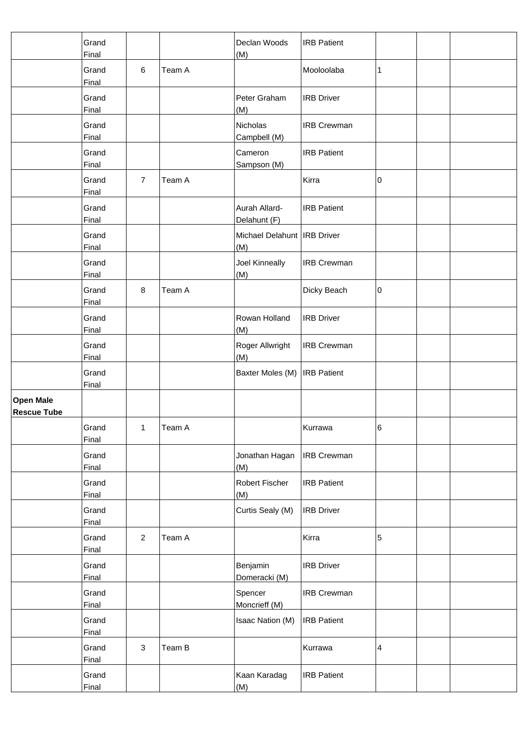|                                        | Grand<br>Final        |                |        | Declan Woods<br>(M)                  | <b>IRB</b> Patient |   |  |
|----------------------------------------|-----------------------|----------------|--------|--------------------------------------|--------------------|---|--|
|                                        | Grand<br>Final        | 6              | Team A |                                      | Mooloolaba         | 1 |  |
|                                        | Grand<br>Final        |                |        | Peter Graham<br>(M)                  | <b>IRB Driver</b>  |   |  |
|                                        | Grand<br>Final        |                |        | Nicholas<br>Campbell (M)             | <b>IRB Crewman</b> |   |  |
|                                        | Grand<br>Final        |                |        | Cameron<br>Sampson (M)               | <b>IRB Patient</b> |   |  |
|                                        | Grand<br>Final        | $\overline{7}$ | Team A |                                      | Kirra              | 0 |  |
|                                        | Grand<br>Final        |                |        | Aurah Allard-<br>Delahunt (F)        | <b>IRB Patient</b> |   |  |
|                                        | Grand<br>Final        |                |        | Michael Delahunt   IRB Driver<br>(M) |                    |   |  |
|                                        | Grand<br>Final        |                |        | Joel Kinneally<br>(M)                | <b>IRB Crewman</b> |   |  |
|                                        | Grand<br>Final        | 8              | Team A |                                      | Dicky Beach        | 0 |  |
|                                        | Grand<br>Final        |                |        | Rowan Holland<br>(M)                 | <b>IRB Driver</b>  |   |  |
|                                        | Grand<br><b>Final</b> |                |        | Roger Allwright<br>(M)               | <b>IRB Crewman</b> |   |  |
|                                        | Grand<br>Final        |                |        | Baxter Moles (M)                     | <b>IRB</b> Patient |   |  |
| <b>Open Male</b><br><b>Rescue Tube</b> |                       |                |        |                                      |                    |   |  |
|                                        | Grand<br><b>Final</b> | 1              | Team A |                                      | Kurrawa            | 6 |  |
|                                        | Grand<br>Final        |                |        | Jonathan Hagan<br>(M)                | <b>IRB Crewman</b> |   |  |
|                                        | Grand<br>Final        |                |        | Robert Fischer<br>(M)                | <b>IRB Patient</b> |   |  |
|                                        | Grand<br>Final        |                |        | Curtis Sealy (M)                     | <b>IRB</b> Driver  |   |  |
|                                        | Grand<br>Final        | $\overline{2}$ | Team A |                                      | Kirra              | 5 |  |
|                                        | Grand<br>Final        |                |        | Benjamin<br>Domeracki (M)            | <b>IRB Driver</b>  |   |  |
|                                        | Grand<br>Final        |                |        | Spencer<br>Moncrieff (M)             | <b>IRB Crewman</b> |   |  |
|                                        | Grand<br>Final        |                |        | Isaac Nation (M)                     | <b>IRB Patient</b> |   |  |
|                                        | Grand<br><b>Final</b> | $\mathbf{3}$   | Team B |                                      | Kurrawa            | 4 |  |
|                                        | Grand<br>Final        |                |        | Kaan Karadag<br>(M)                  | <b>IRB Patient</b> |   |  |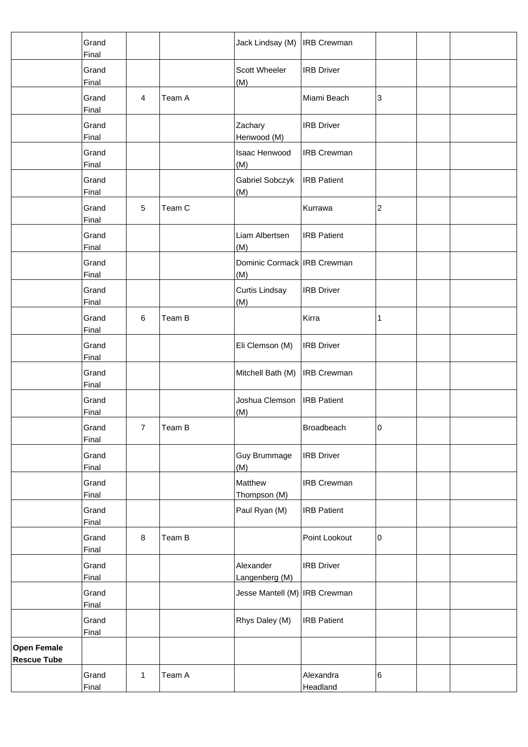|                                          | Grand<br>Final |                |        | Jack Lindsay (M)                   | <b>IRB</b> Crewman    |                |  |
|------------------------------------------|----------------|----------------|--------|------------------------------------|-----------------------|----------------|--|
|                                          | Grand<br>Final |                |        | Scott Wheeler<br>(M)               | <b>IRB</b> Driver     |                |  |
|                                          | Grand<br>Final | $\overline{4}$ | Team A |                                    | Miami Beach           | 3              |  |
|                                          | Grand<br>Final |                |        | Zachary<br>Henwood (M)             | <b>IRB Driver</b>     |                |  |
|                                          | Grand<br>Final |                |        | Isaac Henwood<br>(M)               | <b>IRB Crewman</b>    |                |  |
|                                          | Grand<br>Final |                |        | Gabriel Sobczyk<br>(M)             | <b>IRB</b> Patient    |                |  |
|                                          | Grand<br>Final | $\sqrt{5}$     | Team C |                                    | Kurrawa               | $\overline{c}$ |  |
|                                          | Grand<br>Final |                |        | Liam Albertsen<br>(M)              | <b>IRB Patient</b>    |                |  |
|                                          | Grand<br>Final |                |        | Dominic Cormack IRB Crewman<br>(M) |                       |                |  |
|                                          | Grand<br>Final |                |        | <b>Curtis Lindsay</b><br>(M)       | <b>IRB Driver</b>     |                |  |
|                                          | Grand<br>Final | 6              | Team B |                                    | Kirra                 | 1              |  |
|                                          | Grand<br>Final |                |        | Eli Clemson (M)                    | <b>IRB</b> Driver     |                |  |
|                                          | Grand<br>Final |                |        | Mitchell Bath (M)                  | <b>IRB Crewman</b>    |                |  |
|                                          | Grand<br>Final |                |        | Joshua Clemson<br>(M)              | <b>IRB</b> Patient    |                |  |
|                                          | Grand<br>Final | $\overline{7}$ | Team B |                                    | Broadbeach            | 0              |  |
|                                          | Grand<br>Final |                |        | Guy Brummage<br>(M)                | <b>IRB Driver</b>     |                |  |
|                                          | Grand<br>Final |                |        | Matthew<br>Thompson (M)            | <b>IRB Crewman</b>    |                |  |
|                                          | Grand<br>Final |                |        | Paul Ryan (M)                      | <b>IRB</b> Patient    |                |  |
|                                          | Grand<br>Final | $\bf 8$        | Team B |                                    | Point Lookout         | 0              |  |
|                                          | Grand<br>Final |                |        | Alexander<br>Langenberg (M)        | <b>IRB Driver</b>     |                |  |
|                                          | Grand<br>Final |                |        | Jesse Mantell (M)   IRB Crewman    |                       |                |  |
|                                          | Grand<br>Final |                |        | Rhys Daley (M)                     | <b>IRB Patient</b>    |                |  |
| <b>Open Female</b><br><b>Rescue Tube</b> |                |                |        |                                    |                       |                |  |
|                                          | Grand<br>Final | $\mathbf{1}$   | Team A |                                    | Alexandra<br>Headland | 6              |  |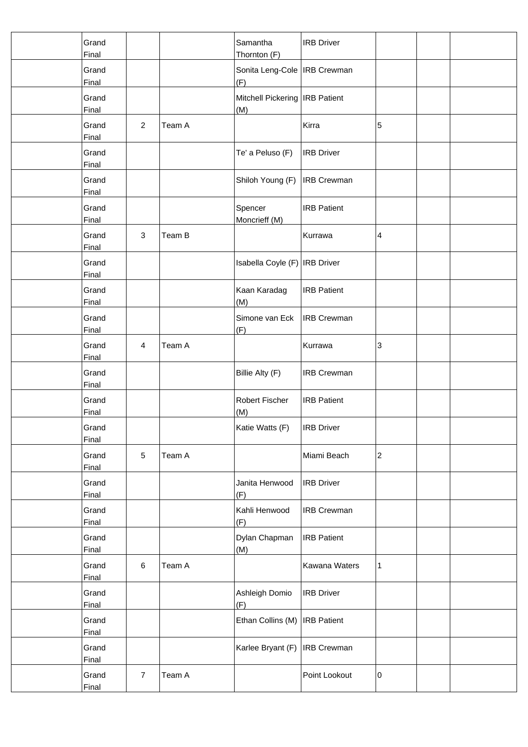| Grand<br>Final        |                         |        | Samantha<br>Thornton (F)                | <b>IRB</b> Driver  |                           |  |
|-----------------------|-------------------------|--------|-----------------------------------------|--------------------|---------------------------|--|
| Grand<br>Final        |                         |        | Sonita Leng-Cole   IRB Crewman<br>(F)   |                    |                           |  |
| Grand<br><b>Final</b> |                         |        | Mitchell Pickering   IRB Patient<br>(M) |                    |                           |  |
| Grand<br>Final        | $\overline{2}$          | Team A |                                         | Kirra              | 5                         |  |
| Grand<br>Final        |                         |        | Te' a Peluso (F)                        | <b>IRB</b> Driver  |                           |  |
| Grand<br>Final        |                         |        | Shiloh Young (F)                        | <b>IRB Crewman</b> |                           |  |
| Grand<br>Final        |                         |        | Spencer<br>Moncrieff (M)                | <b>IRB Patient</b> |                           |  |
| Grand<br>Final        | 3                       | Team B |                                         | Kurrawa            | 4                         |  |
| Grand<br>Final        |                         |        | Isabella Coyle (F)                      | <b>IRB</b> Driver  |                           |  |
| Grand<br>Final        |                         |        | Kaan Karadag<br>(M)                     | <b>IRB</b> Patient |                           |  |
| Grand<br>Final        |                         |        | Simone van Eck<br>(F)                   | <b>IRB Crewman</b> |                           |  |
| Grand<br>Final        | $\overline{\mathbf{4}}$ | Team A |                                         | Kurrawa            | $\ensuremath{\mathsf{3}}$ |  |
| Grand<br>Final        |                         |        | Billie Alty (F)                         | <b>IRB Crewman</b> |                           |  |
| Grand<br>Final        |                         |        | Robert Fischer<br>(M)                   | <b>IRB Patient</b> |                           |  |
| Grand<br>Final        |                         |        | Katie Watts (F)                         | <b>IRB</b> Driver  |                           |  |
| Grand<br>Final        | $\sqrt{5}$              | Team A |                                         | Miami Beach        | $\overline{c}$            |  |
| Grand<br>Final        |                         |        | Janita Henwood<br>(F)                   | <b>IRB</b> Driver  |                           |  |
| Grand<br>Final        |                         |        | Kahli Henwood<br>(F)                    | <b>IRB Crewman</b> |                           |  |
| Grand<br>Final        |                         |        | Dylan Chapman<br>(M)                    | <b>IRB</b> Patient |                           |  |
| Grand<br>Final        | $\,6\,$                 | Team A |                                         | Kawana Waters      | 1                         |  |
| Grand<br>Final        |                         |        | Ashleigh Domio<br>(F)                   | <b>IRB</b> Driver  |                           |  |
| Grand<br>Final        |                         |        | Ethan Collins (M)                       | <b>IRB</b> Patient |                           |  |
| Grand<br><b>Final</b> |                         |        | Karlee Bryant (F)                       | <b>IRB</b> Crewman |                           |  |
| Grand<br>Final        | $\overline{7}$          | Team A |                                         | Point Lookout      | 0                         |  |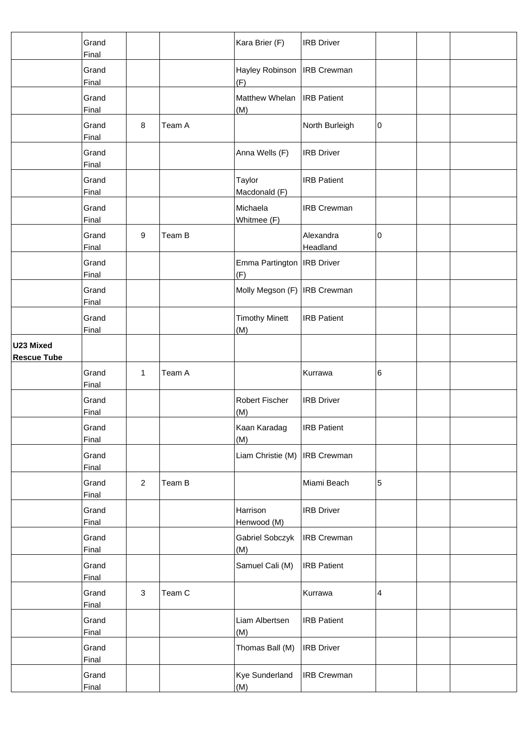|                                 | Grand<br>Final        |                |        | Kara Brier (F)                      | <b>IRB Driver</b>     |   |  |
|---------------------------------|-----------------------|----------------|--------|-------------------------------------|-----------------------|---|--|
|                                 | Grand<br>Final        |                |        | Hayley Robinson<br>(F)              | <b>IRB</b> Crewman    |   |  |
|                                 | Grand<br>Final        |                |        | Matthew Whelan<br>(M)               | <b>IRB Patient</b>    |   |  |
|                                 | Grand<br>Final        | 8              | Team A |                                     | North Burleigh        | 0 |  |
|                                 | Grand<br>Final        |                |        | Anna Wells (F)                      | <b>IRB Driver</b>     |   |  |
|                                 | Grand<br>Final        |                |        | Taylor<br>Macdonald (F)             | <b>IRB Patient</b>    |   |  |
|                                 | Grand<br>Final        |                |        | Michaela<br>Whitmee (F)             | <b>IRB Crewman</b>    |   |  |
|                                 | Grand<br>Final        | 9              | Team B |                                     | Alexandra<br>Headland | 0 |  |
|                                 | Grand<br>Final        |                |        | Emma Partington   IRB Driver<br>(F) |                       |   |  |
|                                 | Grand<br>Final        |                |        | Molly Megson (F)   IRB Crewman      |                       |   |  |
|                                 | Grand<br>Final        |                |        | <b>Timothy Minett</b><br>(M)        | <b>IRB Patient</b>    |   |  |
| U23 Mixed<br><b>Rescue Tube</b> |                       |                |        |                                     |                       |   |  |
|                                 | Grand<br>Final        | $\mathbf{1}$   | Team A |                                     | Kurrawa               | 6 |  |
|                                 | Grand<br>Final        |                |        | Robert Fischer<br>(M)               | <b>IRB Driver</b>     |   |  |
|                                 | Grand<br>Final        |                |        | Kaan Karadag<br>(M)                 | <b>IRB Patient</b>    |   |  |
|                                 | Grand<br>Final        |                |        | Liam Christie (M)                   | <b>IRB Crewman</b>    |   |  |
|                                 | Grand<br>Final        | $\overline{2}$ | Team B |                                     | Miami Beach           | 5 |  |
|                                 | Grand<br><b>Final</b> |                |        | Harrison<br>Henwood (M)             | <b>IRB Driver</b>     |   |  |
|                                 | Grand<br>Final        |                |        | Gabriel Sobczyk<br>(M)              | <b>IRB Crewman</b>    |   |  |
|                                 | Grand<br>Final        |                |        | Samuel Cali (M)                     | <b>IRB Patient</b>    |   |  |
|                                 | Grand<br>Final        | $\mathbf{3}$   | Team C |                                     | Kurrawa               | 4 |  |
|                                 | Grand<br>Final        |                |        | Liam Albertsen<br>(M)               | <b>IRB Patient</b>    |   |  |
|                                 | Grand<br><b>Final</b> |                |        | Thomas Ball (M)                     | <b>IRB Driver</b>     |   |  |
|                                 | Grand<br>Final        |                |        | <b>Kye Sunderland</b><br>(M)        | <b>IRB Crewman</b>    |   |  |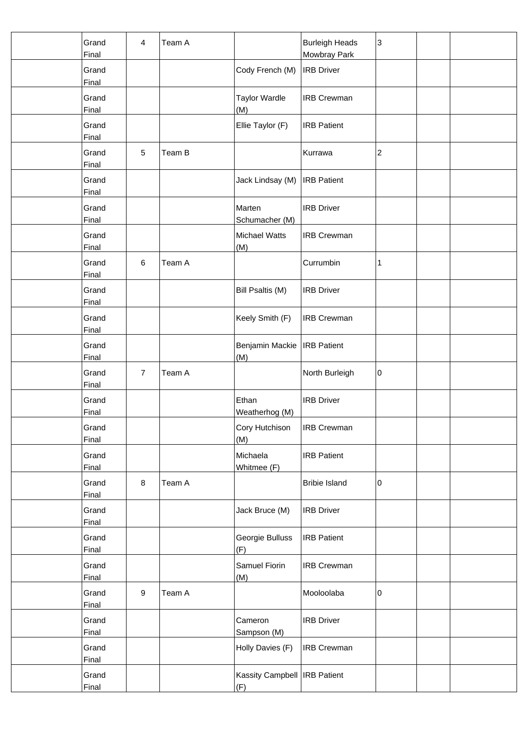| Grand<br>Final        | 4              | Team A |                                       | <b>Burleigh Heads</b><br>Mowbray Park | 3              |  |
|-----------------------|----------------|--------|---------------------------------------|---------------------------------------|----------------|--|
| Grand<br>Final        |                |        | Cody French (M)                       | <b>IRB</b> Driver                     |                |  |
| Grand<br><b>Final</b> |                |        | <b>Taylor Wardle</b><br>(M)           | <b>IRB Crewman</b>                    |                |  |
| Grand<br>Final        |                |        | Ellie Taylor (F)                      | <b>IRB Patient</b>                    |                |  |
| Grand<br>Final        | $\sqrt{5}$     | Team B |                                       | Kurrawa                               | $\overline{c}$ |  |
| Grand<br>Final        |                |        | Jack Lindsay (M)                      | <b>IRB</b> Patient                    |                |  |
| Grand<br>Final        |                |        | Marten<br>Schumacher (M)              | <b>IRB Driver</b>                     |                |  |
| Grand<br>Final        |                |        | <b>Michael Watts</b><br>(M)           | <b>IRB Crewman</b>                    |                |  |
| Grand<br><b>Final</b> | $\,6\,$        | Team A |                                       | Currumbin                             | $\mathbf{1}$   |  |
| Grand<br>Final        |                |        | Bill Psaltis (M)                      | <b>IRB Driver</b>                     |                |  |
| Grand<br>Final        |                |        | Keely Smith (F)                       | <b>IRB Crewman</b>                    |                |  |
| Grand<br>Final        |                |        | Benjamin Mackie<br>(M)                | <b>IRB</b> Patient                    |                |  |
| Grand<br>Final        | $\overline{7}$ | Team A |                                       | North Burleigh                        | 0              |  |
| Grand<br>Final        |                |        | Ethan<br>Weatherhog (M)               | <b>IRB Driver</b>                     |                |  |
| Grand<br>Final        |                |        | Cory Hutchison<br>(M)                 | <b>IRB Crewman</b>                    |                |  |
| Grand<br>Final        |                |        | Michaela<br>Whitmee (F)               | <b>IRB Patient</b>                    |                |  |
| Grand<br>Final        | 8              | Team A |                                       | <b>Bribie Island</b>                  | 0              |  |
| Grand<br>Final        |                |        | Jack Bruce (M)                        | <b>IRB</b> Driver                     |                |  |
| Grand<br>Final        |                |        | Georgie Bulluss<br>(F)                | <b>IRB</b> Patient                    |                |  |
| Grand<br>Final        |                |        | Samuel Fiorin<br>(M)                  | <b>IRB Crewman</b>                    |                |  |
| Grand<br>Final        | 9              | Team A |                                       | Mooloolaba                            | 0              |  |
| Grand<br>Final        |                |        | Cameron<br>Sampson (M)                | <b>IRB Driver</b>                     |                |  |
| Grand<br><b>Final</b> |                |        | Holly Davies (F)                      | <b>IRB Crewman</b>                    |                |  |
| Grand<br>Final        |                |        | Kassity Campbell   IRB Patient<br>(F) |                                       |                |  |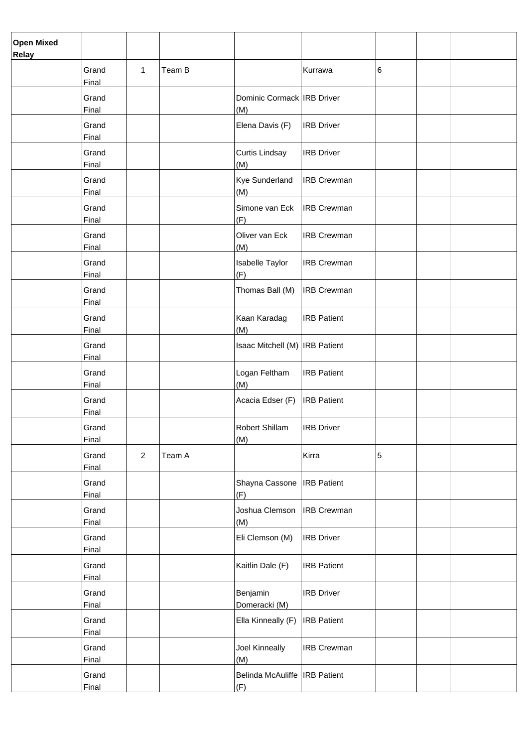| <b>Open Mixed</b><br>Relay |                       |              |        |                                        |                    |   |  |
|----------------------------|-----------------------|--------------|--------|----------------------------------------|--------------------|---|--|
|                            | Grand<br>Final        | $\mathbf{1}$ | Team B |                                        | Kurrawa            | 6 |  |
|                            | Grand<br>Final        |              |        | Dominic Cormack IRB Driver<br>(M)      |                    |   |  |
|                            | Grand<br>Final        |              |        | Elena Davis (F)                        | <b>IRB Driver</b>  |   |  |
|                            | Grand<br>Final        |              |        | Curtis Lindsay<br>(M)                  | <b>IRB Driver</b>  |   |  |
|                            | Grand<br>Final        |              |        | Kye Sunderland<br>(M)                  | <b>IRB Crewman</b> |   |  |
|                            | Grand<br>Final        |              |        | Simone van Eck<br>(F)                  | <b>IRB</b> Crewman |   |  |
|                            | Grand<br>Final        |              |        | Oliver van Eck<br>(M)                  | <b>IRB Crewman</b> |   |  |
|                            | Grand<br>Final        |              |        | Isabelle Taylor<br>(F)                 | <b>IRB Crewman</b> |   |  |
|                            | Grand<br>Final        |              |        | Thomas Ball (M)                        | <b>IRB Crewman</b> |   |  |
|                            | Grand<br>Final        |              |        | Kaan Karadag<br>(M)                    | <b>IRB Patient</b> |   |  |
|                            | Grand<br>Final        |              |        | Isaac Mitchell (M)   IRB Patient       |                    |   |  |
|                            | Grand<br>Final        |              |        | Logan Feltham<br>(M)                   | <b>IRB Patient</b> |   |  |
|                            | Grand<br>Final        |              |        | Acacia Edser (F)                       | <b>IRB</b> Patient |   |  |
|                            | Grand<br>Final        |              |        | Robert Shillam<br>(M)                  | <b>IRB Driver</b>  |   |  |
|                            | Grand<br>Final        | $\mathbf{2}$ | Team A |                                        | Kirra              | 5 |  |
|                            | Grand<br>Final        |              |        | Shayna Cassone<br>(F)                  | <b>IRB</b> Patient |   |  |
|                            | Grand<br>Final        |              |        | Joshua Clemson<br>(M)                  | <b>IRB</b> Crewman |   |  |
|                            | Grand<br>Final        |              |        | Eli Clemson (M)                        | <b>IRB Driver</b>  |   |  |
|                            | Grand<br>Final        |              |        | Kaitlin Dale (F)                       | <b>IRB Patient</b> |   |  |
|                            | Grand<br>Final        |              |        | Benjamin<br>Domeracki (M)              | <b>IRB Driver</b>  |   |  |
|                            | Grand<br>Final        |              |        | Ella Kinneally (F)                     | <b>IRB</b> Patient |   |  |
|                            | Grand<br><b>Final</b> |              |        | Joel Kinneally<br>(M)                  | <b>IRB Crewman</b> |   |  |
|                            | Grand<br>Final        |              |        | Belinda McAuliffe   IRB Patient<br>(F) |                    |   |  |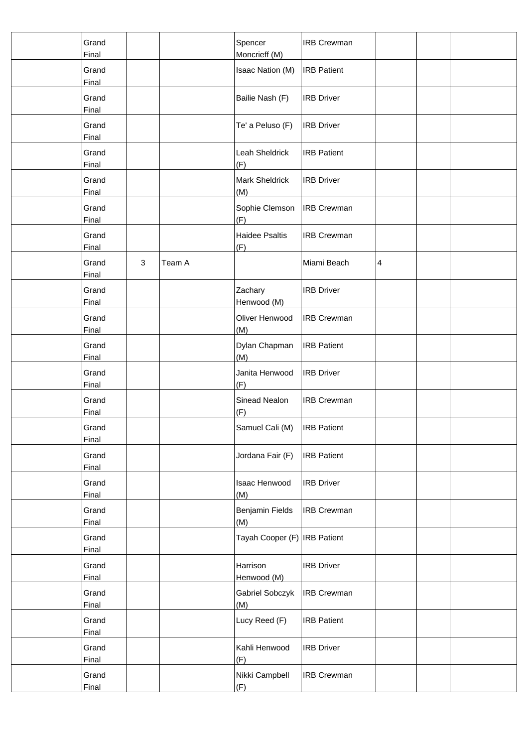| Grand<br>Final |                        | Spencer<br>Moncrieff (M)     | <b>IRB Crewman</b> |   |  |
|----------------|------------------------|------------------------------|--------------------|---|--|
| Grand<br>Final |                        | Isaac Nation (M)             | <b>IRB Patient</b> |   |  |
| Grand<br>Final |                        | Bailie Nash (F)              | <b>IRB Driver</b>  |   |  |
| Grand<br>Final |                        | Te' a Peluso (F)             | <b>IRB Driver</b>  |   |  |
| Grand<br>Final |                        | Leah Sheldrick<br>(F)        | <b>IRB Patient</b> |   |  |
| Grand<br>Final |                        | <b>Mark Sheldrick</b><br>(M) | <b>IRB Driver</b>  |   |  |
| Grand<br>Final |                        | Sophie Clemson<br>(F)        | <b>IRB Crewman</b> |   |  |
| Grand<br>Final |                        | <b>Haidee Psaltis</b><br>(F) | <b>IRB Crewman</b> |   |  |
| Grand<br>Final | $\mathbf{3}$<br>Team A |                              | Miami Beach        | 4 |  |
| Grand<br>Final |                        | Zachary<br>Henwood (M)       | <b>IRB Driver</b>  |   |  |
| Grand<br>Final |                        | Oliver Henwood<br>(M)        | <b>IRB Crewman</b> |   |  |
| Grand<br>Final |                        | Dylan Chapman<br>(M)         | <b>IRB Patient</b> |   |  |
| Grand<br>Final |                        | Janita Henwood<br>(F)        | <b>IRB Driver</b>  |   |  |
| Grand<br>Final |                        | Sinead Nealon<br>(F)         | <b>IRB Crewman</b> |   |  |
| Grand<br>Final |                        | Samuel Cali (M)              | <b>IRB</b> Patient |   |  |
| Grand<br>Final |                        | Jordana Fair (F)             | <b>IRB Patient</b> |   |  |
| Grand<br>Final |                        | Isaac Henwood<br>(M)         | <b>IRB Driver</b>  |   |  |
| Grand<br>Final |                        | Benjamin Fields<br>(M)       | <b>IRB Crewman</b> |   |  |
| Grand<br>Final |                        | Tayah Cooper (F) IRB Patient |                    |   |  |
| Grand<br>Final |                        | Harrison<br>Henwood (M)      | <b>IRB Driver</b>  |   |  |
| Grand<br>Final |                        | Gabriel Sobczyk<br>(M)       | <b>IRB Crewman</b> |   |  |
| Grand<br>Final |                        | Lucy Reed (F)                | <b>IRB Patient</b> |   |  |
| Grand<br>Final |                        | Kahli Henwood<br>(F)         | <b>IRB Driver</b>  |   |  |
| Grand<br>Final |                        | Nikki Campbell<br>(F)        | <b>IRB Crewman</b> |   |  |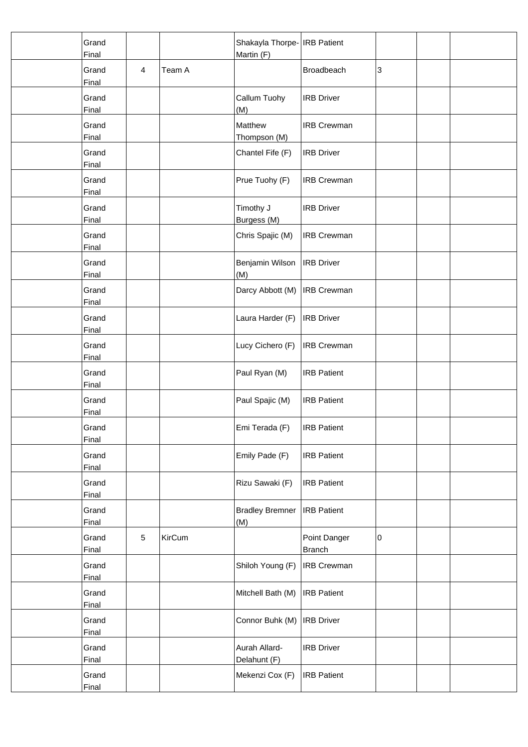| Grand<br>Final        |                |               | Shakayla Thorpe- IRB Patient<br>Martin (F) |                               |   |  |
|-----------------------|----------------|---------------|--------------------------------------------|-------------------------------|---|--|
| Grand<br>Final        | $\overline{4}$ | Team A        |                                            | Broadbeach                    | 3 |  |
| Grand<br>Final        |                |               | Callum Tuohy<br>(M)                        | <b>IRB Driver</b>             |   |  |
| Grand<br>Final        |                |               | Matthew<br>Thompson (M)                    | <b>IRB Crewman</b>            |   |  |
| Grand<br>Final        |                |               | Chantel Fife (F)                           | <b>IRB</b> Driver             |   |  |
| Grand<br>Final        |                |               | Prue Tuohy (F)                             | <b>IRB Crewman</b>            |   |  |
| Grand<br>Final        |                |               | Timothy J<br>Burgess (M)                   | <b>IRB Driver</b>             |   |  |
| Grand<br>Final        |                |               | Chris Spajic (M)                           | <b>IRB Crewman</b>            |   |  |
| Grand<br>Final        |                |               | Benjamin Wilson<br>(M)                     | <b>IRB</b> Driver             |   |  |
| Grand<br>Final        |                |               | Darcy Abbott (M)                           | <b>IRB Crewman</b>            |   |  |
| Grand<br>Final        |                |               | Laura Harder (F)                           | <b>IRB</b> Driver             |   |  |
| Grand<br><b>Final</b> |                |               | Lucy Cichero (F)                           | <b>IRB Crewman</b>            |   |  |
| Grand<br>Final        |                |               | Paul Ryan (M)                              | <b>IRB Patient</b>            |   |  |
| Grand<br>Final        |                |               | Paul Spajic (M)                            | <b>IRB Patient</b>            |   |  |
| Grand<br>Final        |                |               | Emi Terada (F)                             | <b>IRB Patient</b>            |   |  |
| Grand<br>Final        |                |               | Emily Pade (F)                             | <b>IRB</b> Patient            |   |  |
| Grand<br>Final        |                |               | Rizu Sawaki (F)                            | <b>IRB Patient</b>            |   |  |
| Grand<br>Final        |                |               | <b>Bradley Bremner</b><br>(M)              | <b>IRB</b> Patient            |   |  |
| Grand<br>Final        | $\sqrt{5}$     | <b>KirCum</b> |                                            | Point Danger<br><b>Branch</b> | 0 |  |
| Grand<br>Final        |                |               | Shiloh Young (F)                           | <b>IRB Crewman</b>            |   |  |
| Grand<br>Final        |                |               | Mitchell Bath (M)                          | <b>IRB</b> Patient            |   |  |
| Grand<br><b>Final</b> |                |               | Connor Buhk (M)                            | <b>IRB</b> Driver             |   |  |
| Grand<br><b>Final</b> |                |               | Aurah Allard-<br>Delahunt (F)              | <b>IRB Driver</b>             |   |  |
| Grand<br>Final        |                |               | Mekenzi Cox (F)                            | <b>IRB</b> Patient            |   |  |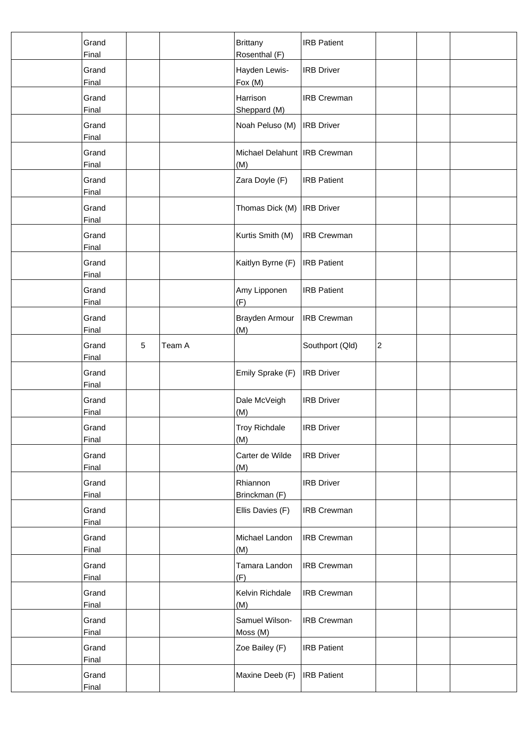| Grand<br>Final        |   |        | Brittany<br>Rosenthal (F)             | <b>IRB Patient</b> |                |  |
|-----------------------|---|--------|---------------------------------------|--------------------|----------------|--|
| Grand<br>Final        |   |        | Hayden Lewis-<br>Fox (M)              | <b>IRB Driver</b>  |                |  |
| Grand<br>Final        |   |        | Harrison<br>Sheppard (M)              | <b>IRB Crewman</b> |                |  |
| Grand<br>Final        |   |        | Noah Peluso (M)                       | <b>IRB Driver</b>  |                |  |
| Grand<br>Final        |   |        | Michael Delahunt   IRB Crewman<br>(M) |                    |                |  |
| Grand<br>Final        |   |        | Zara Doyle (F)                        | <b>IRB Patient</b> |                |  |
| Grand<br>Final        |   |        | Thomas Dick (M)                       | <b>IRB Driver</b>  |                |  |
| Grand<br>Final        |   |        | Kurtis Smith (M)                      | <b>IRB Crewman</b> |                |  |
| Grand<br>Final        |   |        | Kaitlyn Byrne (F)                     | <b>IRB Patient</b> |                |  |
| Grand<br><b>Final</b> |   |        | Amy Lipponen<br>(F)                   | <b>IRB Patient</b> |                |  |
| Grand<br>Final        |   |        | Brayden Armour<br>(M)                 | <b>IRB Crewman</b> |                |  |
| Grand<br>Final        | 5 | Team A |                                       | Southport (Qld)    | $\overline{c}$ |  |
| Grand<br>Final        |   |        | Emily Sprake (F)                      | <b>IRB Driver</b>  |                |  |
| Grand<br>Final        |   |        | Dale McVeigh<br>(M)                   | <b>IRB Driver</b>  |                |  |
| Grand<br>Final        |   |        | <b>Troy Richdale</b><br>(M)           | <b>IRB Driver</b>  |                |  |
| Grand<br>Final        |   |        | Carter de Wilde<br>(M)                | <b>IRB Driver</b>  |                |  |
| Grand<br>Final        |   |        | Rhiannon<br>Brinckman (F)             | <b>IRB Driver</b>  |                |  |
| Grand<br>Final        |   |        | Ellis Davies (F)                      | <b>IRB Crewman</b> |                |  |
| Grand<br>Final        |   |        | Michael Landon<br>(M)                 | <b>IRB Crewman</b> |                |  |
| Grand<br>Final        |   |        | Tamara Landon<br>(F)                  | <b>IRB Crewman</b> |                |  |
| Grand<br>Final        |   |        | Kelvin Richdale<br>(M)                | <b>IRB Crewman</b> |                |  |
| Grand<br>Final        |   |        | Samuel Wilson-<br>Moss (M)            | <b>IRB Crewman</b> |                |  |
| Grand<br>Final        |   |        | Zoe Bailey (F)                        | <b>IRB Patient</b> |                |  |
| Grand<br>Final        |   |        | Maxine Deeb (F)                       | <b>IRB Patient</b> |                |  |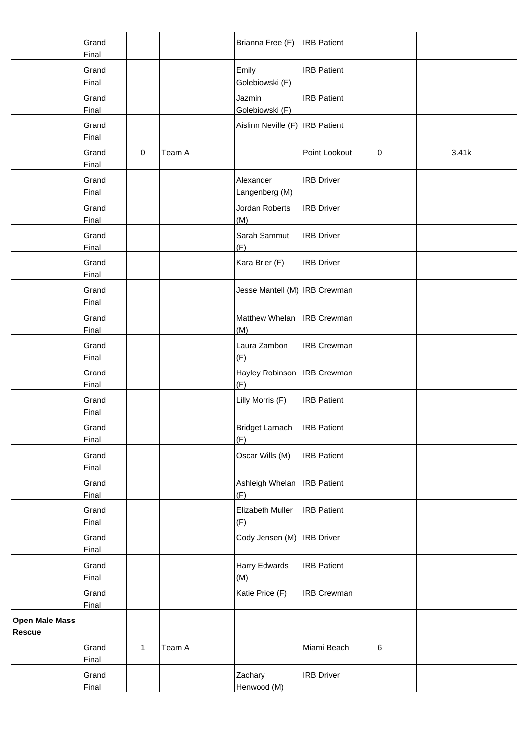|                                        | Grand<br>Final |              |        | Brianna Free (F)                    | <b>IRB</b> Patient |   |       |
|----------------------------------------|----------------|--------------|--------|-------------------------------------|--------------------|---|-------|
|                                        | Grand<br>Final |              |        | Emily<br>Golebiowski (F)            | <b>IRB</b> Patient |   |       |
|                                        | Grand<br>Final |              |        | Jazmin<br>Golebiowski (F)           | <b>IRB Patient</b> |   |       |
|                                        | Grand<br>Final |              |        | Aislinn Neville (F)   IRB Patient   |                    |   |       |
|                                        | Grand<br>Final | $\mathbf 0$  | Team A |                                     | Point Lookout      | 0 | 3.41k |
|                                        | Grand<br>Final |              |        | Alexander<br>Langenberg (M)         | <b>IRB Driver</b>  |   |       |
|                                        | Grand<br>Final |              |        | Jordan Roberts<br>(M)               | <b>IRB Driver</b>  |   |       |
|                                        | Grand<br>Final |              |        | Sarah Sammut<br>(F)                 | <b>IRB Driver</b>  |   |       |
|                                        | Grand<br>Final |              |        | Kara Brier (F)                      | <b>IRB Driver</b>  |   |       |
|                                        | Grand<br>Final |              |        | Jesse Mantell (M)   IRB Crewman     |                    |   |       |
|                                        | Grand<br>Final |              |        | Matthew Whelan   IRB Crewman<br>(M) |                    |   |       |
|                                        | Grand<br>Final |              |        | Laura Zambon<br>(F)                 | <b>IRB Crewman</b> |   |       |
|                                        | Grand<br>Final |              |        | Hayley Robinson<br>(F)              | <b>IRB Crewman</b> |   |       |
|                                        | Grand<br>Final |              |        | Lilly Morris (F)                    | <b>IRB Patient</b> |   |       |
|                                        | Grand<br>Final |              |        | Bridget Larnach<br>(F)              | <b>IRB</b> Patient |   |       |
|                                        | Grand<br>Final |              |        | Oscar Wills (M)                     | <b>IRB Patient</b> |   |       |
|                                        | Grand<br>Final |              |        | Ashleigh Whelan<br>(F)              | <b>IRB</b> Patient |   |       |
|                                        | Grand<br>Final |              |        | Elizabeth Muller<br>(F)             | <b>IRB Patient</b> |   |       |
|                                        | Grand<br>Final |              |        | Cody Jensen (M)                     | <b>IRB</b> Driver  |   |       |
|                                        | Grand<br>Final |              |        | Harry Edwards<br>(M)                | <b>IRB Patient</b> |   |       |
|                                        | Grand<br>Final |              |        | Katie Price (F)                     | <b>IRB Crewman</b> |   |       |
| <b>Open Male Mass</b><br><b>Rescue</b> |                |              |        |                                     |                    |   |       |
|                                        | Grand<br>Final | $\mathbf{1}$ | Team A |                                     | Miami Beach        | 6 |       |
|                                        | Grand<br>Final |              |        | Zachary<br>Henwood (M)              | <b>IRB Driver</b>  |   |       |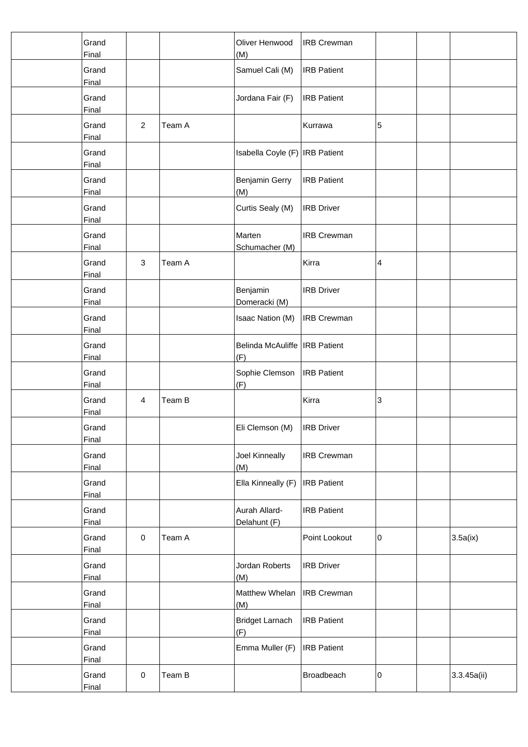| Grand<br>Final        |                |        | Oliver Henwood<br>(M)                  | <b>IRB Crewman</b> |   |             |
|-----------------------|----------------|--------|----------------------------------------|--------------------|---|-------------|
| Grand<br>Final        |                |        | Samuel Cali (M)                        | <b>IRB</b> Patient |   |             |
| Grand<br>Final        |                |        | Jordana Fair (F)                       | <b>IRB Patient</b> |   |             |
| Grand<br>Final        | $\overline{2}$ | Team A |                                        | Kurrawa            | 5 |             |
| Grand<br>Final        |                |        | Isabella Coyle (F) IRB Patient         |                    |   |             |
| Grand<br>Final        |                |        | Benjamin Gerry<br>(M)                  | <b>IRB</b> Patient |   |             |
| Grand<br>Final        |                |        | Curtis Sealy (M)                       | <b>IRB Driver</b>  |   |             |
| Grand<br>Final        |                |        | Marten<br>Schumacher (M)               | <b>IRB Crewman</b> |   |             |
| Grand<br>Final        | 3              | Team A |                                        | Kirra              | 4 |             |
| Grand<br>Final        |                |        | Benjamin<br>Domeracki (M)              | <b>IRB Driver</b>  |   |             |
| Grand<br>Final        |                |        | Isaac Nation (M)                       | <b>IRB Crewman</b> |   |             |
| Grand<br>Final        |                |        | Belinda McAuliffe   IRB Patient<br>(F) |                    |   |             |
| Grand<br>Final        |                |        | Sophie Clemson<br>(F)                  | <b>IRB</b> Patient |   |             |
| Grand<br>Final        | 4              | Team B |                                        | Kirra              | 3 |             |
| Grand<br><b>Final</b> |                |        | Eli Clemson (M)                        | <b>IRB</b> Driver  |   |             |
| Grand<br>Final        |                |        | Joel Kinneally<br>(M)                  | <b>IRB Crewman</b> |   |             |
| Grand<br>Final        |                |        | Ella Kinneally (F)                     | <b>IRB</b> Patient |   |             |
| Grand<br>Final        |                |        | Aurah Allard-<br>Delahunt (F)          | <b>IRB</b> Patient |   |             |
| Grand<br>Final        | $\mathbf 0$    | Team A |                                        | Point Lookout      | 0 | 3.5a(ix)    |
| Grand<br>Final        |                |        | Jordan Roberts<br>(M)                  | <b>IRB Driver</b>  |   |             |
| Grand<br>Final        |                |        | Matthew Whelan<br>(M)                  | <b>IRB Crewman</b> |   |             |
| Grand<br>Final        |                |        | <b>Bridget Larnach</b><br>(F)          | <b>IRB</b> Patient |   |             |
| Grand<br><b>Final</b> |                |        | Emma Muller (F)                        | <b>IRB</b> Patient |   |             |
| Grand<br>Final        | $\pmb{0}$      | Team B |                                        | Broadbeach         | 0 | 3.3.45a(ii) |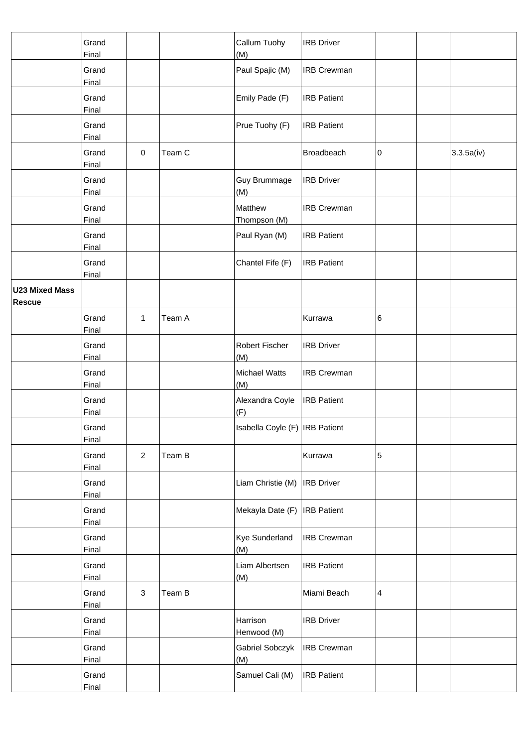|                                 | Grand<br>Final        |                |        | Callum Tuohy<br>(M)            | <b>IRB</b> Driver  |   |            |
|---------------------------------|-----------------------|----------------|--------|--------------------------------|--------------------|---|------------|
|                                 | Grand<br>Final        |                |        | Paul Spajic (M)                | <b>IRB Crewman</b> |   |            |
|                                 | Grand<br>Final        |                |        | Emily Pade (F)                 | <b>IRB Patient</b> |   |            |
|                                 | Grand<br>Final        |                |        | Prue Tuohy (F)                 | <b>IRB Patient</b> |   |            |
|                                 | Grand<br>Final        | $\pmb{0}$      | Team C |                                | Broadbeach         | 0 | 3.3.5a(iv) |
|                                 | Grand<br>Final        |                |        | Guy Brummage<br>(M)            | <b>IRB</b> Driver  |   |            |
|                                 | Grand<br>Final        |                |        | Matthew<br>Thompson (M)        | <b>IRB Crewman</b> |   |            |
|                                 | Grand<br>Final        |                |        | Paul Ryan (M)                  | <b>IRB Patient</b> |   |            |
|                                 | Grand<br>Final        |                |        | Chantel Fife (F)               | <b>IRB Patient</b> |   |            |
| <b>U23 Mixed Mass</b><br>Rescue |                       |                |        |                                |                    |   |            |
|                                 | Grand<br>Final        | 1              | Team A |                                | Kurrawa            | 6 |            |
|                                 | Grand<br>Final        |                |        | Robert Fischer<br>(M)          | <b>IRB Driver</b>  |   |            |
|                                 | Grand<br>Final        |                |        | Michael Watts<br>(M)           | <b>IRB Crewman</b> |   |            |
|                                 | Grand<br>Final        |                |        | Alexandra Coyle<br>(F)         | <b>IRB Patient</b> |   |            |
|                                 | Grand<br>Final        |                |        | Isabella Coyle (F) IRB Patient |                    |   |            |
|                                 | Grand<br>Final        | $\overline{2}$ | Team B |                                | Kurrawa            | 5 |            |
|                                 | Grand<br>Final        |                |        | Liam Christie (M)              | <b>IRB</b> Driver  |   |            |
|                                 | Grand<br>Final        |                |        | Mekayla Date (F)               | <b>IRB</b> Patient |   |            |
|                                 | Grand<br>Final        |                |        | Kye Sunderland<br>(M)          | <b>IRB Crewman</b> |   |            |
|                                 | Grand<br>Final        |                |        | Liam Albertsen<br>(M)          | <b>IRB Patient</b> |   |            |
|                                 | Grand<br>Final        | 3              | Team B |                                | Miami Beach        | 4 |            |
|                                 | Grand<br>Final        |                |        | Harrison<br>Henwood (M)        | <b>IRB Driver</b>  |   |            |
|                                 | Grand<br><b>Final</b> |                |        | Gabriel Sobczyk<br>(M)         | <b>IRB Crewman</b> |   |            |
|                                 | Grand<br>Final        |                |        | Samuel Cali (M)                | <b>IRB</b> Patient |   |            |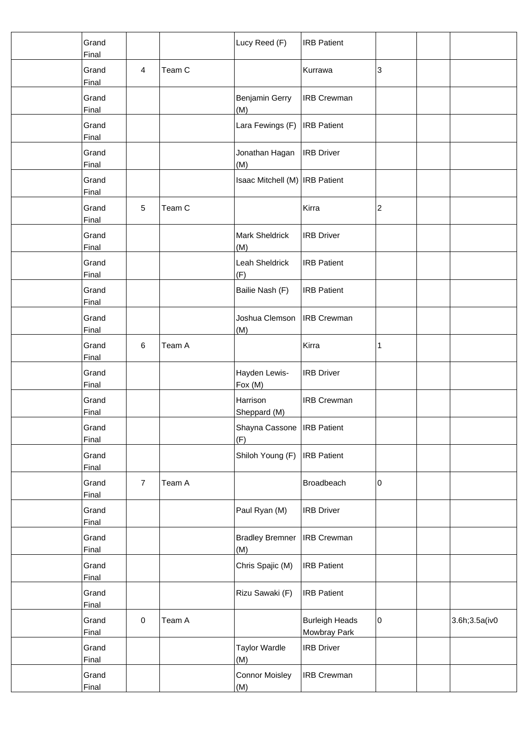| Grand<br>Final        |                |        | Lucy Reed (F)                       | <b>IRB</b> Patient                    |                |                |
|-----------------------|----------------|--------|-------------------------------------|---------------------------------------|----------------|----------------|
| Grand<br>Final        | $\overline{4}$ | Team C |                                     | Kurrawa                               | 3              |                |
| Grand<br>Final        |                |        | Benjamin Gerry<br>(M)               | <b>IRB Crewman</b>                    |                |                |
| Grand<br>Final        |                |        | Lara Fewings (F)                    | <b>IRB</b> Patient                    |                |                |
| Grand<br>Final        |                |        | Jonathan Hagan<br>(M)               | <b>IRB</b> Driver                     |                |                |
| Grand<br>Final        |                |        | Isaac Mitchell (M)   IRB Patient    |                                       |                |                |
| Grand<br>Final        | $\sqrt{5}$     | Team C |                                     | Kirra                                 | $\overline{c}$ |                |
| Grand<br>Final        |                |        | Mark Sheldrick<br>(M)               | <b>IRB Driver</b>                     |                |                |
| Grand<br>Final        |                |        | Leah Sheldrick<br>(F)               | <b>IRB Patient</b>                    |                |                |
| Grand<br>Final        |                |        | Bailie Nash (F)                     | <b>IRB Patient</b>                    |                |                |
| Grand<br>Final        |                |        | Joshua Clemson<br>(M)               | <b>IRB Crewman</b>                    |                |                |
| Grand<br><b>Final</b> | $\,6\,$        | Team A |                                     | Kirra                                 | 1              |                |
| Grand<br>Final        |                |        | Hayden Lewis-<br>Fox (M)            | <b>IRB</b> Driver                     |                |                |
| Grand<br>Final        |                |        | Harrison<br>Sheppard (M)            | <b>IRB Crewman</b>                    |                |                |
| Grand<br>Final        |                |        | Shayna Cassone   IRB Patient<br>(F) |                                       |                |                |
| Grand<br><b>Final</b> |                |        | Shiloh Young (F)                    | <b>IRB</b> Patient                    |                |                |
| Grand<br>Final        | $\overline{7}$ | Team A |                                     | Broadbeach                            | 0              |                |
| Grand<br>Final        |                |        | Paul Ryan (M)                       | <b>IRB</b> Driver                     |                |                |
| Grand<br>Final        |                |        | <b>Bradley Bremner</b><br>(M)       | <b>IRB Crewman</b>                    |                |                |
| Grand<br>Final        |                |        | Chris Spajic (M)                    | <b>IRB Patient</b>                    |                |                |
| Grand<br>Final        |                |        | Rizu Sawaki (F)                     | <b>IRB Patient</b>                    |                |                |
| Grand<br><b>Final</b> | $\pmb{0}$      | Team A |                                     | <b>Burleigh Heads</b><br>Mowbray Park | 0              | 3.6h; 3.5a(iv0 |
| Grand<br><b>Final</b> |                |        | <b>Taylor Wardle</b><br>(M)         | <b>IRB Driver</b>                     |                |                |
| Grand<br>Final        |                |        | <b>Connor Moisley</b><br>(M)        | <b>IRB Crewman</b>                    |                |                |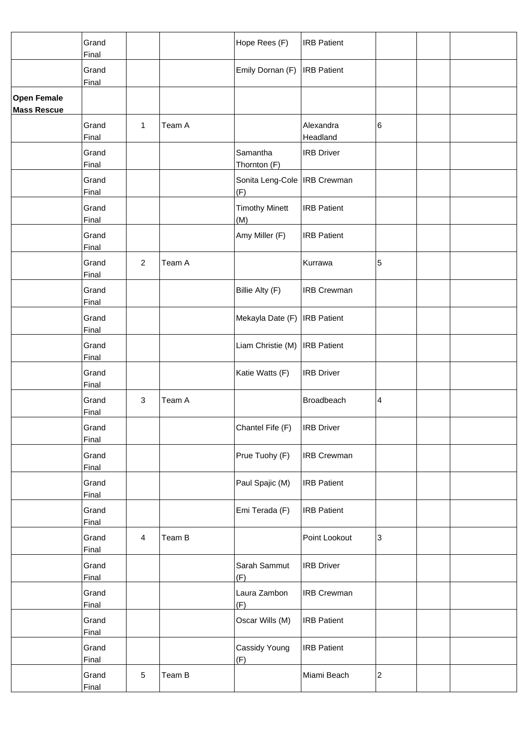|                                          | Grand<br>Final        |                |        | Hope Rees (F)                         | <b>IRB</b> Patient    |                         |  |
|------------------------------------------|-----------------------|----------------|--------|---------------------------------------|-----------------------|-------------------------|--|
|                                          | Grand<br>Final        |                |        | Emily Dornan (F)                      | <b>IRB</b> Patient    |                         |  |
| <b>Open Female</b><br><b>Mass Rescue</b> |                       |                |        |                                       |                       |                         |  |
|                                          | Grand<br>Final        | 1              | Team A |                                       | Alexandra<br>Headland | 6                       |  |
|                                          | Grand<br>Final        |                |        | Samantha<br>Thornton (F)              | <b>IRB Driver</b>     |                         |  |
|                                          | Grand<br>Final        |                |        | Sonita Leng-Cole   IRB Crewman<br>(F) |                       |                         |  |
|                                          | Grand<br>Final        |                |        | <b>Timothy Minett</b><br>(M)          | <b>IRB Patient</b>    |                         |  |
|                                          | Grand<br>Final        |                |        | Amy Miller (F)                        | <b>IRB Patient</b>    |                         |  |
|                                          | Grand<br>Final        | $\overline{2}$ | Team A |                                       | Kurrawa               | 5                       |  |
|                                          | Grand<br>Final        |                |        | Billie Alty (F)                       | <b>IRB Crewman</b>    |                         |  |
|                                          | Grand<br>Final        |                |        | Mekayla Date (F)                      | <b>IRB</b> Patient    |                         |  |
|                                          | Grand<br>Final        |                |        | Liam Christie (M)                     | <b>IRB</b> Patient    |                         |  |
|                                          | Grand<br><b>Final</b> |                |        | Katie Watts (F)                       | <b>IRB Driver</b>     |                         |  |
|                                          | Grand<br>Final        | 3              | Team A |                                       | Broadbeach            | 4                       |  |
|                                          | Grand<br>Final        |                |        | Chantel Fife (F)                      | <b>IRB</b> Driver     |                         |  |
|                                          | Grand<br>Final        |                |        | Prue Tuohy (F)                        | <b>IRB Crewman</b>    |                         |  |
|                                          | Grand<br>Final        |                |        | Paul Spajic (M)                       | <b>IRB Patient</b>    |                         |  |
|                                          | Grand<br>Final        |                |        | Emi Terada (F)                        | <b>IRB</b> Patient    |                         |  |
|                                          | Grand<br>Final        | $\overline{4}$ | Team B |                                       | Point Lookout         | 3                       |  |
|                                          | Grand<br>Final        |                |        | Sarah Sammut<br>(F)                   | <b>IRB Driver</b>     |                         |  |
|                                          | Grand<br>Final        |                |        | Laura Zambon<br>(F)                   | <b>IRB Crewman</b>    |                         |  |
|                                          | Grand<br>Final        |                |        | Oscar Wills (M)                       | <b>IRB Patient</b>    |                         |  |
|                                          | Grand<br><b>Final</b> |                |        | Cassidy Young<br>(F)                  | <b>IRB</b> Patient    |                         |  |
|                                          | Grand<br>Final        | $\overline{5}$ | Team B |                                       | Miami Beach           | $\overline{\mathbf{c}}$ |  |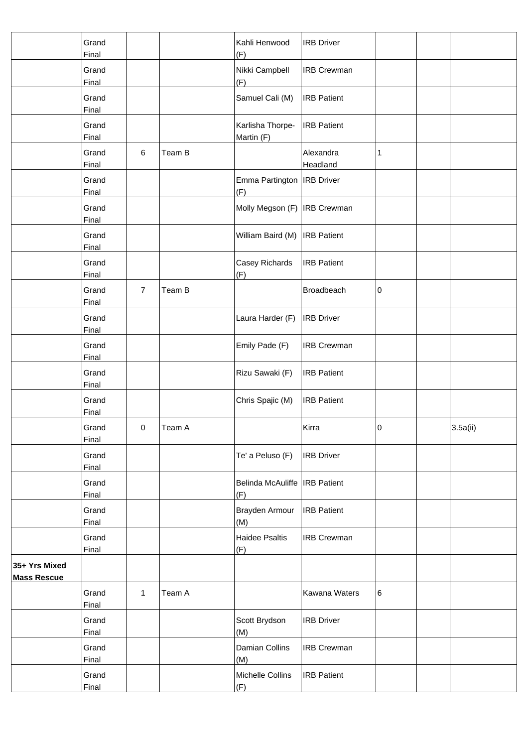|                                     | Grand<br>Final        |                |        | Kahli Henwood<br>(F)                   | <b>IRB Driver</b>     |   |         |
|-------------------------------------|-----------------------|----------------|--------|----------------------------------------|-----------------------|---|---------|
|                                     | Grand<br>Final        |                |        | Nikki Campbell<br>(F)                  | <b>IRB Crewman</b>    |   |         |
|                                     | Grand<br>Final        |                |        | Samuel Cali (M)                        | <b>IRB Patient</b>    |   |         |
|                                     | Grand<br>Final        |                |        | Karlisha Thorpe-<br>Martin (F)         | <b>IRB Patient</b>    |   |         |
|                                     | Grand<br>Final        | $\,6\,$        | Team B |                                        | Alexandra<br>Headland | 1 |         |
|                                     | Grand<br>Final        |                |        | Emma Partington   IRB Driver<br>(F)    |                       |   |         |
|                                     | Grand<br>Final        |                |        | Molly Megson (F)   IRB Crewman         |                       |   |         |
|                                     | Grand<br>Final        |                |        | William Baird (M)                      | <b>IRB</b> Patient    |   |         |
|                                     | Grand<br><b>Final</b> |                |        | Casey Richards<br>(F)                  | <b>IRB Patient</b>    |   |         |
|                                     | Grand<br>Final        | $\overline{7}$ | Team B |                                        | Broadbeach            | 0 |         |
|                                     | Grand<br>Final        |                |        | Laura Harder (F)                       | <b>IRB</b> Driver     |   |         |
|                                     | Grand<br>Final        |                |        | Emily Pade (F)                         | <b>IRB Crewman</b>    |   |         |
|                                     | Grand<br>Final        |                |        | Rizu Sawaki (F)                        | <b>IRB Patient</b>    |   |         |
|                                     | Grand<br>Final        |                |        | Chris Spajic (M)                       | <b>IRB Patient</b>    |   |         |
|                                     | Grand<br><b>Final</b> | 0              | Team A |                                        | Kirra                 | 0 | 3.5a(i) |
|                                     | Grand<br>Final        |                |        | Te' a Peluso (F)                       | <b>IRB</b> Driver     |   |         |
|                                     | Grand<br>Final        |                |        | Belinda McAuliffe   IRB Patient<br>(F) |                       |   |         |
|                                     | Grand<br>Final        |                |        | Brayden Armour<br>(M)                  | <b>IRB</b> Patient    |   |         |
|                                     | Grand<br>Final        |                |        | Haidee Psaltis<br>(F)                  | <b>IRB Crewman</b>    |   |         |
| 35+ Yrs Mixed<br><b>Mass Rescue</b> |                       |                |        |                                        |                       |   |         |
|                                     | Grand<br>Final        | $\mathbf{1}$   | Team A |                                        | Kawana Waters         | 6 |         |
|                                     | Grand<br>Final        |                |        | Scott Brydson<br>(M)                   | <b>IRB Driver</b>     |   |         |
|                                     | Grand<br><b>Final</b> |                |        | Damian Collins<br>(M)                  | <b>IRB Crewman</b>    |   |         |
|                                     | Grand<br>Final        |                |        | Michelle Collins<br>(F)                | <b>IRB Patient</b>    |   |         |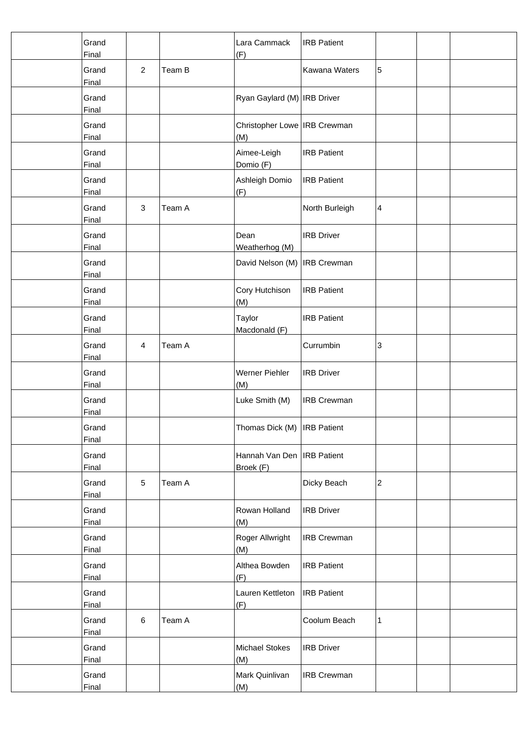| Grand<br>Final        |                |        | Lara Cammack<br>(F)                       | <b>IRB Patient</b> |                |  |
|-----------------------|----------------|--------|-------------------------------------------|--------------------|----------------|--|
| Grand<br>Final        | $\overline{2}$ | Team B |                                           | Kawana Waters      | 5              |  |
| Grand<br>Final        |                |        | Ryan Gaylard (M) IRB Driver               |                    |                |  |
| Grand<br>Final        |                |        | Christopher Lowe   IRB Crewman<br>(M)     |                    |                |  |
| Grand<br>Final        |                |        | Aimee-Leigh<br>Domio (F)                  | <b>IRB Patient</b> |                |  |
| Grand<br>Final        |                |        | Ashleigh Domio<br>(F)                     | <b>IRB Patient</b> |                |  |
| Grand<br>Final        | $\sqrt{3}$     | Team A |                                           | North Burleigh     | 4              |  |
| Grand<br>Final        |                |        | Dean<br>Weatherhog (M)                    | <b>IRB Driver</b>  |                |  |
| Grand<br>Final        |                |        | David Nelson (M)                          | <b>IRB Crewman</b> |                |  |
| Grand<br>Final        |                |        | Cory Hutchison<br>(M)                     | <b>IRB Patient</b> |                |  |
| Grand<br>Final        |                |        | Taylor<br>Macdonald (F)                   | <b>IRB Patient</b> |                |  |
| Grand<br>Final        | 4              | Team A |                                           | Currumbin          | 3              |  |
| Grand<br>Final        |                |        | <b>Werner Piehler</b><br>(M)              | <b>IRB Driver</b>  |                |  |
| Grand<br>Final        |                |        | Luke Smith (M)                            | <b>IRB Crewman</b> |                |  |
| Grand<br>Final        |                |        | Thomas Dick (M)   IRB Patient             |                    |                |  |
| Grand<br>Final        |                |        | Hannah Van Den   IRB Patient<br>Broek (F) |                    |                |  |
| Grand<br>Final        | $\sqrt{5}$     | Team A |                                           | Dicky Beach        | $\overline{c}$ |  |
| Grand<br>Final        |                |        | Rowan Holland<br>(M)                      | <b>IRB Driver</b>  |                |  |
| Grand<br><b>Final</b> |                |        | Roger Allwright<br>(M)                    | <b>IRB Crewman</b> |                |  |
| Grand<br>Final        |                |        | Althea Bowden<br>(F)                      | <b>IRB Patient</b> |                |  |
| Grand<br>Final        |                |        | Lauren Kettleton<br>(F)                   | <b>IRB Patient</b> |                |  |
| Grand<br><b>Final</b> | 6              | Team A |                                           | Coolum Beach       | 1              |  |
| Grand<br>Final        |                |        | Michael Stokes<br>(M)                     | <b>IRB Driver</b>  |                |  |
| Grand<br>Final        |                |        | Mark Quinlivan<br>(M)                     | <b>IRB Crewman</b> |                |  |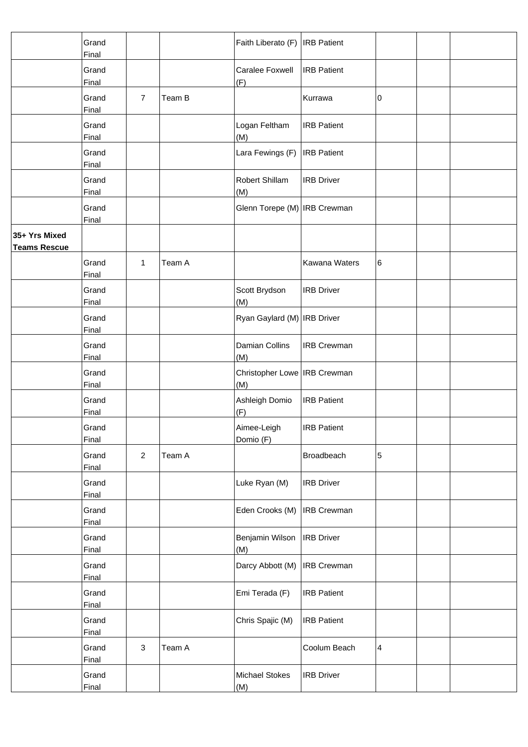|                                      | Grand<br>Final        |                |        | Faith Liberato (F)   IRB Patient      |                    |                         |  |
|--------------------------------------|-----------------------|----------------|--------|---------------------------------------|--------------------|-------------------------|--|
|                                      | Grand<br>Final        |                |        | Caralee Foxwell<br>(F)                | <b>IRB</b> Patient |                         |  |
|                                      | Grand<br>Final        | $\overline{7}$ | Team B |                                       | Kurrawa            | 0                       |  |
|                                      | Grand<br>Final        |                |        | Logan Feltham<br>(M)                  | <b>IRB Patient</b> |                         |  |
|                                      | Grand<br>Final        |                |        | Lara Fewings (F)                      | <b>IRB</b> Patient |                         |  |
|                                      | Grand<br>Final        |                |        | Robert Shillam<br>(M)                 | <b>IRB Driver</b>  |                         |  |
|                                      | Grand<br>Final        |                |        | Glenn Torepe (M)   IRB Crewman        |                    |                         |  |
| 35+ Yrs Mixed<br><b>Teams Rescue</b> |                       |                |        |                                       |                    |                         |  |
|                                      | Grand<br>Final        | 1              | Team A |                                       | Kawana Waters      | 6                       |  |
|                                      | Grand<br>Final        |                |        | Scott Brydson<br>(M)                  | <b>IRB</b> Driver  |                         |  |
|                                      | Grand<br>Final        |                |        | Ryan Gaylard (M)   IRB Driver         |                    |                         |  |
|                                      | Grand<br><b>Final</b> |                |        | Damian Collins<br>(M)                 | <b>IRB Crewman</b> |                         |  |
|                                      | Grand<br>Final        |                |        | Christopher Lowe   IRB Crewman<br>(M) |                    |                         |  |
|                                      | Grand<br>Final        |                |        | Ashleigh Domio<br>(F)                 | <b>IRB Patient</b> |                         |  |
|                                      | Grand<br>Final        |                |        | Aimee-Leigh<br>Domio (F)              | <b>IRB Patient</b> |                         |  |
|                                      | Grand<br><b>Final</b> | $\overline{2}$ | Team A |                                       | Broadbeach         | 5                       |  |
|                                      | Grand<br>Final        |                |        | Luke Ryan (M)                         | <b>IRB Driver</b>  |                         |  |
|                                      | Grand<br>Final        |                |        | Eden Crooks (M)                       | <b>IRB Crewman</b> |                         |  |
|                                      | Grand<br>Final        |                |        | Benjamin Wilson<br>(M)                | <b>IRB</b> Driver  |                         |  |
|                                      | Grand<br>Final        |                |        | Darcy Abbott (M)                      | <b>IRB Crewman</b> |                         |  |
|                                      | Grand<br>Final        |                |        | Emi Terada (F)                        | <b>IRB Patient</b> |                         |  |
|                                      | Grand<br><b>Final</b> |                |        | Chris Spajic (M)                      | <b>IRB Patient</b> |                         |  |
|                                      | Grand<br><b>Final</b> | $\mathbf{3}$   | Team A |                                       | Coolum Beach       | $\overline{\mathbf{4}}$ |  |
|                                      | Grand<br>Final        |                |        | <b>Michael Stokes</b><br>(M)          | <b>IRB Driver</b>  |                         |  |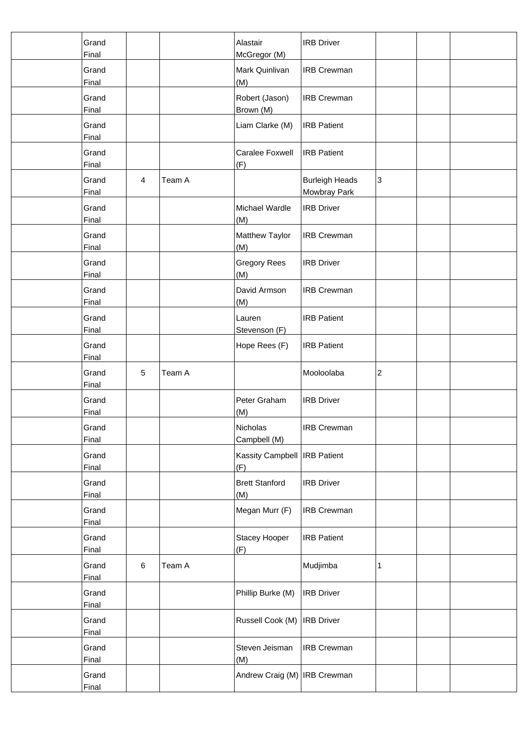| Grand<br>Final        |                |        | Alastair<br>McGregor (M)              | <b>IRB</b> Driver                     |   |  |
|-----------------------|----------------|--------|---------------------------------------|---------------------------------------|---|--|
| Grand<br>Final        |                |        | Mark Quinlivan<br>(M)                 | <b>IRB Crewman</b>                    |   |  |
| Grand<br>Final        |                |        | Robert (Jason)<br>Brown (M)           | <b>IRB Crewman</b>                    |   |  |
| Grand<br>Final        |                |        | Liam Clarke (M)                       | <b>IRB Patient</b>                    |   |  |
| Grand<br>Final        |                |        | Caralee Foxwell<br>(F)                | <b>IRB</b> Patient                    |   |  |
| Grand<br>Final        | $\overline{4}$ | Team A |                                       | <b>Burleigh Heads</b><br>Mowbray Park | 3 |  |
| Grand<br>Final        |                |        | Michael Wardle<br>(M)                 | <b>IRB Driver</b>                     |   |  |
| Grand<br>Final        |                |        | Matthew Taylor<br>(M)                 | <b>IRB Crewman</b>                    |   |  |
| Grand<br>Final        |                |        | <b>Gregory Rees</b><br>(M)            | <b>IRB Driver</b>                     |   |  |
| Grand<br>Final        |                |        | David Armson<br>(M)                   | <b>IRB Crewman</b>                    |   |  |
| Grand<br>Final        |                |        | Lauren<br>Stevenson (F)               | <b>IRB Patient</b>                    |   |  |
| Grand<br>Final        |                |        | Hope Rees (F)                         | <b>IRB Patient</b>                    |   |  |
| Grand<br>Final        | $\sqrt{5}$     | Team A |                                       | Mooloolaba                            | 2 |  |
| Grand<br>Final        |                |        | Peter Graham<br>(M)                   | <b>IRB Driver</b>                     |   |  |
| Grand<br>Final        |                |        | Nicholas<br>Campbell (M)              | <b>IRB Crewman</b>                    |   |  |
| Grand<br>Final        |                |        | Kassity Campbell   IRB Patient<br>(F) |                                       |   |  |
| Grand<br>Final        |                |        | <b>Brett Stanford</b><br>(M)          | <b>IRB Driver</b>                     |   |  |
| Grand<br>Final        |                |        | Megan Murr (F)                        | <b>IRB Crewman</b>                    |   |  |
| Grand<br>Final        |                |        | Stacey Hooper<br>(F)                  | <b>IRB Patient</b>                    |   |  |
| Grand<br>Final        | $\,6$          | Team A |                                       | Mudjimba                              | 1 |  |
| Grand<br>Final        |                |        | Phillip Burke (M)                     | <b>IRB</b> Driver                     |   |  |
| Grand<br>Final        |                |        | Russell Cook (M)                      | <b>IRB</b> Driver                     |   |  |
| Grand<br><b>Final</b> |                |        | Steven Jeisman<br>(M)                 | <b>IRB Crewman</b>                    |   |  |
| Grand<br>Final        |                |        | Andrew Craig (M) IRB Crewman          |                                       |   |  |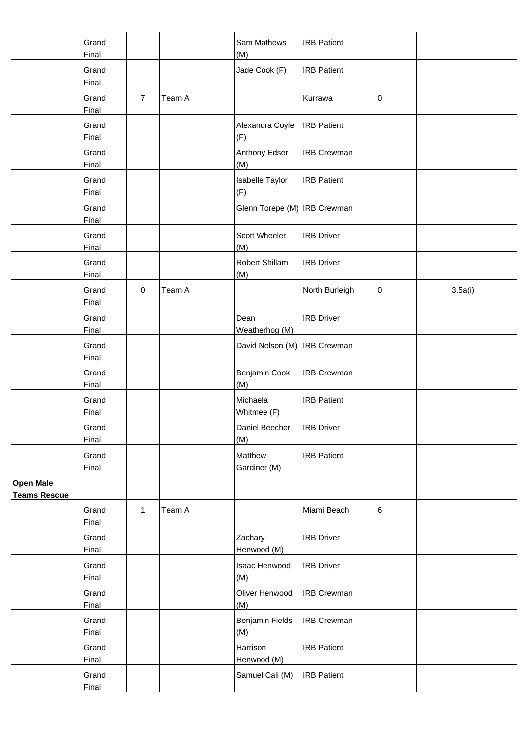|                                         | Grand<br>Final        |                |        | Sam Mathews<br>(M)             | <b>IRB Patient</b> |   |         |
|-----------------------------------------|-----------------------|----------------|--------|--------------------------------|--------------------|---|---------|
|                                         | Grand<br>Final        |                |        | Jade Cook (F)                  | <b>IRB</b> Patient |   |         |
|                                         | Grand<br>Final        | $\overline{7}$ | Team A |                                | Kurrawa            | 0 |         |
|                                         | Grand<br>Final        |                |        | Alexandra Coyle<br>(F)         | <b>IRB Patient</b> |   |         |
|                                         | Grand<br>Final        |                |        | Anthony Edser<br>(M)           | <b>IRB Crewman</b> |   |         |
|                                         | Grand<br>Final        |                |        | <b>Isabelle Taylor</b><br>(F)  | <b>IRB Patient</b> |   |         |
|                                         | Grand<br>Final        |                |        | Glenn Torepe (M)   IRB Crewman |                    |   |         |
|                                         | Grand<br>Final        |                |        | Scott Wheeler<br>(M)           | <b>IRB Driver</b>  |   |         |
|                                         | Grand<br>Final        |                |        | Robert Shillam<br>(M)          | <b>IRB Driver</b>  |   |         |
|                                         | Grand<br>Final        | $\pmb{0}$      | Team A |                                | North Burleigh     | 0 | 3.5a(i) |
|                                         | Grand<br>Final        |                |        | Dean<br>Weatherhog (M)         | <b>IRB Driver</b>  |   |         |
|                                         | Grand<br>Final        |                |        | David Nelson (M)   IRB Crewman |                    |   |         |
|                                         | Grand<br>Final        |                |        | Benjamin Cook<br>(M)           | <b>IRB Crewman</b> |   |         |
|                                         | Grand<br>Final        |                |        | Michaela<br>Whitmee (F)        | <b>IRB Patient</b> |   |         |
|                                         | Grand<br><b>Final</b> |                |        | Daniel Beecher<br>(M)          | <b>IRB</b> Driver  |   |         |
|                                         | Grand<br>Final        |                |        | Matthew<br>Gardiner (M)        | <b>IRB Patient</b> |   |         |
| <b>Open Male</b><br><b>Teams Rescue</b> |                       |                |        |                                |                    |   |         |
|                                         | Grand<br>Final        | $\mathbf{1}$   | Team A |                                | Miami Beach        | 6 |         |
|                                         | Grand<br>Final        |                |        | Zachary<br>Henwood (M)         | <b>IRB Driver</b>  |   |         |
|                                         | Grand<br>Final        |                |        | Isaac Henwood<br>(M)           | <b>IRB Driver</b>  |   |         |
|                                         | Grand<br>Final        |                |        | Oliver Henwood<br>(M)          | <b>IRB Crewman</b> |   |         |
|                                         | Grand<br>Final        |                |        | Benjamin Fields<br>(M)         | <b>IRB Crewman</b> |   |         |
|                                         | Grand<br>Final        |                |        | Harrison<br>Henwood (M)        | <b>IRB Patient</b> |   |         |
|                                         | Grand<br>Final        |                |        | Samuel Cali (M)                | <b>IRB Patient</b> |   |         |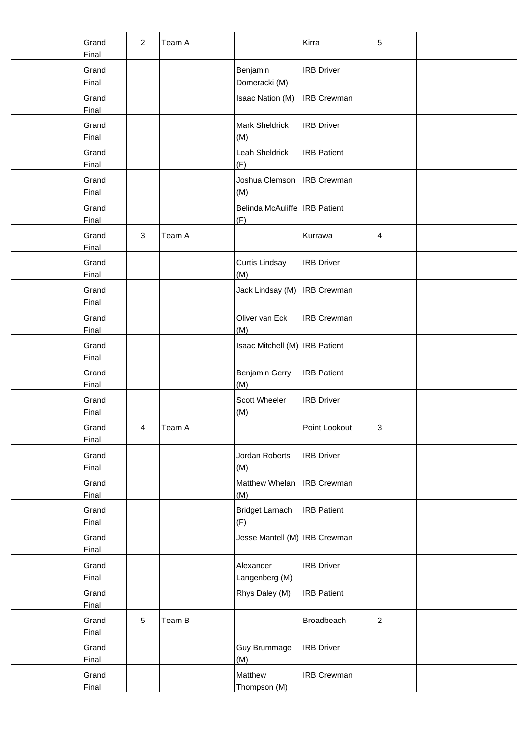| Grand<br>Final        | $\overline{2}$ | Team A |                                        | Kirra              | 5              |  |
|-----------------------|----------------|--------|----------------------------------------|--------------------|----------------|--|
| Grand<br>Final        |                |        | Benjamin<br>Domeracki (M)              | <b>IRB Driver</b>  |                |  |
| Grand<br>Final        |                |        | <b>Isaac Nation (M)</b>                | <b>IRB Crewman</b> |                |  |
| Grand<br>Final        |                |        | <b>Mark Sheldrick</b><br>(M)           | <b>IRB Driver</b>  |                |  |
| Grand<br>Final        |                |        | Leah Sheldrick<br>(F)                  | <b>IRB</b> Patient |                |  |
| Grand<br>Final        |                |        | Joshua Clemson<br>(M)                  | <b>IRB</b> Crewman |                |  |
| Grand<br>Final        |                |        | Belinda McAuliffe   IRB Patient<br>(F) |                    |                |  |
| Grand<br>Final        | 3              | Team A |                                        | Kurrawa            | 4              |  |
| Grand<br>Final        |                |        | Curtis Lindsay<br>(M)                  | <b>IRB</b> Driver  |                |  |
| Grand<br>Final        |                |        | Jack Lindsay (M)                       | <b>IRB Crewman</b> |                |  |
| Grand<br>Final        |                |        | Oliver van Eck<br>(M)                  | <b>IRB Crewman</b> |                |  |
| Grand<br><b>Final</b> |                |        | Isaac Mitchell (M)   IRB Patient       |                    |                |  |
| Grand<br>Final        |                |        | Benjamin Gerry<br>(M)                  | <b>IRB Patient</b> |                |  |
| Grand<br>Final        |                |        | Scott Wheeler<br>(M)                   | <b>IRB Driver</b>  |                |  |
| Grand<br>Final        | $\overline{4}$ | Team A |                                        | Point Lookout      | 3              |  |
| Grand<br>Final        |                |        | Jordan Roberts<br>(M)                  | <b>IRB</b> Driver  |                |  |
| Grand<br>Final        |                |        | Matthew Whelan<br>(M)                  | <b>IRB</b> Crewman |                |  |
| Grand<br>Final        |                |        | <b>Bridget Larnach</b><br>(F)          | <b>IRB</b> Patient |                |  |
| Grand<br>Final        |                |        | Jesse Mantell (M)   IRB Crewman        |                    |                |  |
| Grand<br>Final        |                |        | Alexander<br>Langenberg (M)            | <b>IRB Driver</b>  |                |  |
| Grand<br>Final        |                |        | Rhys Daley (M)                         | <b>IRB Patient</b> |                |  |
| Grand<br><b>Final</b> | $\sqrt{5}$     | Team B |                                        | Broadbeach         | $\overline{c}$ |  |
| Grand<br><b>Final</b> |                |        | Guy Brummage<br>(M)                    | <b>IRB</b> Driver  |                |  |
| Grand<br>Final        |                |        | Matthew<br>Thompson (M)                | <b>IRB Crewman</b> |                |  |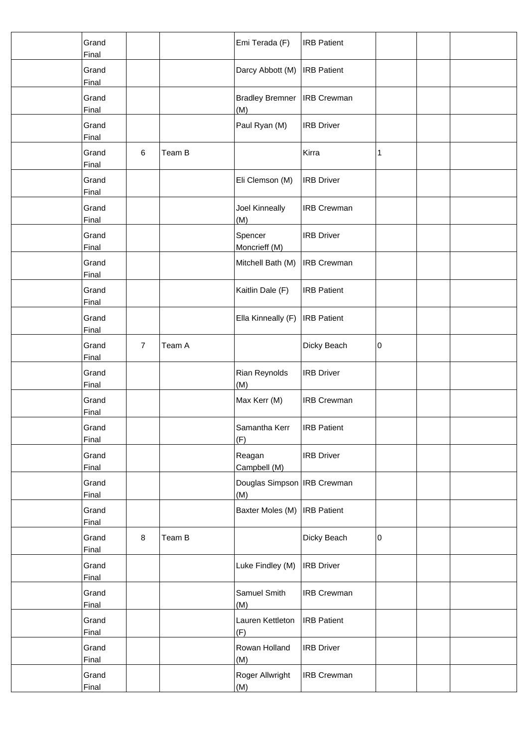| Grand<br>Final        |                |        | Emi Terada (F)                       | <b>IRB Patient</b> |   |  |
|-----------------------|----------------|--------|--------------------------------------|--------------------|---|--|
| Grand<br>Final        |                |        | Darcy Abbott (M)                     | <b>IRB</b> Patient |   |  |
| Grand<br>Final        |                |        | <b>Bradley Bremner</b><br>(M)        | <b>IRB Crewman</b> |   |  |
| Grand<br>Final        |                |        | Paul Ryan (M)                        | <b>IRB Driver</b>  |   |  |
| Grand<br>Final        | $\,6$          | Team B |                                      | Kirra              | 1 |  |
| Grand<br>Final        |                |        | Eli Clemson (M)                      | <b>IRB Driver</b>  |   |  |
| Grand<br>Final        |                |        | Joel Kinneally<br>(M)                | <b>IRB Crewman</b> |   |  |
| Grand<br>Final        |                |        | Spencer<br>Moncrieff (M)             | <b>IRB Driver</b>  |   |  |
| Grand<br><b>Final</b> |                |        | Mitchell Bath (M)                    | <b>IRB Crewman</b> |   |  |
| Grand<br>Final        |                |        | Kaitlin Dale (F)                     | <b>IRB Patient</b> |   |  |
| Grand<br>Final        |                |        | Ella Kinneally (F)                   | <b>IRB</b> Patient |   |  |
| Grand<br>Final        | $\overline{7}$ | Team A |                                      | Dicky Beach        | 0 |  |
| Grand<br>Final        |                |        | Rian Reynolds<br>(M)                 | <b>IRB Driver</b>  |   |  |
| Grand<br>Final        |                |        | Max Kerr (M)                         | <b>IRB Crewman</b> |   |  |
| Grand<br>Final        |                |        | Samantha Kerr<br>(F)                 | <b>IRB</b> Patient |   |  |
| Grand<br>Final        |                |        | Reagan<br>Campbell (M)               | <b>IRB Driver</b>  |   |  |
| Grand<br>Final        |                |        | Douglas Simpson   IRB Crewman<br>(M) |                    |   |  |
| Grand<br>Final        |                |        | Baxter Moles (M)                     | <b>IRB</b> Patient |   |  |
| Grand<br>Final        | 8              | Team B |                                      | Dicky Beach        | 0 |  |
| Grand<br>Final        |                |        | Luke Findley (M)                     | <b>IRB</b> Driver  |   |  |
| Grand<br>Final        |                |        | Samuel Smith<br>(M)                  | <b>IRB Crewman</b> |   |  |
| Grand<br>Final        |                |        | Lauren Kettleton<br>(F)              | <b>IRB</b> Patient |   |  |
| Grand<br><b>Final</b> |                |        | Rowan Holland<br>(M)                 | <b>IRB Driver</b>  |   |  |
| Grand<br>Final        |                |        | Roger Allwright<br>(M)               | <b>IRB Crewman</b> |   |  |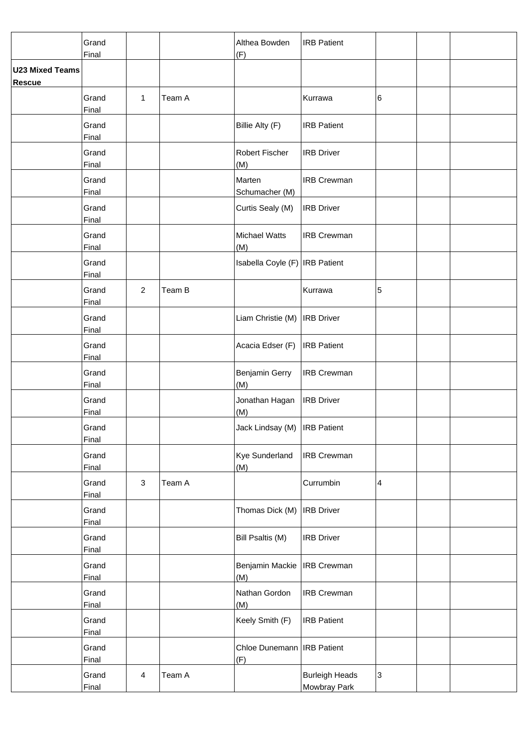|                                         | Grand<br>Final        |                |        | Althea Bowden<br>(F)                | <b>IRB Patient</b>                    |                         |  |
|-----------------------------------------|-----------------------|----------------|--------|-------------------------------------|---------------------------------------|-------------------------|--|
| <b>U23 Mixed Teams</b><br><b>Rescue</b> |                       |                |        |                                     |                                       |                         |  |
|                                         | Grand<br>Final        | 1              | Team A |                                     | Kurrawa                               | 6                       |  |
|                                         | Grand<br>Final        |                |        | Billie Alty (F)                     | <b>IRB Patient</b>                    |                         |  |
|                                         | Grand<br>Final        |                |        | Robert Fischer<br>(M)               | <b>IRB Driver</b>                     |                         |  |
|                                         | Grand<br>Final        |                |        | Marten<br>Schumacher (M)            | <b>IRB Crewman</b>                    |                         |  |
|                                         | Grand<br>Final        |                |        | Curtis Sealy (M)                    | <b>IRB Driver</b>                     |                         |  |
|                                         | Grand<br>Final        |                |        | <b>Michael Watts</b><br>(M)         | <b>IRB Crewman</b>                    |                         |  |
|                                         | Grand<br>Final        |                |        | Isabella Coyle (F) IRB Patient      |                                       |                         |  |
|                                         | Grand<br>Final        | $\overline{2}$ | Team B |                                     | Kurrawa                               | 5                       |  |
|                                         | Grand<br>Final        |                |        | Liam Christie (M)                   | <b>IRB Driver</b>                     |                         |  |
|                                         | Grand<br>Final        |                |        | Acacia Edser (F)                    | <b>IRB Patient</b>                    |                         |  |
|                                         | Grand<br>Final        |                |        | Benjamin Gerry<br>(M)               | <b>IRB Crewman</b>                    |                         |  |
|                                         | Grand<br>Final        |                |        | Jonathan Hagan<br>(M)               | <b>IRB Driver</b>                     |                         |  |
|                                         | Grand<br>Final        |                |        | Jack Lindsay (M)   IRB Patient      |                                       |                         |  |
|                                         | Grand<br>Final        |                |        | <b>Kye Sunderland</b><br>(M)        | <b>IRB Crewman</b>                    |                         |  |
|                                         | Grand<br>Final        | $\sqrt{3}$     | Team A |                                     | Currumbin                             | $\overline{\mathbf{4}}$ |  |
|                                         | Grand<br>Final        |                |        | Thomas Dick (M)                     | <b>IRB Driver</b>                     |                         |  |
|                                         | Grand<br>Final        |                |        | Bill Psaltis (M)                    | <b>IRB Driver</b>                     |                         |  |
|                                         | Grand<br>Final        |                |        | Benjamin Mackie<br>(M)              | <b>IRB Crewman</b>                    |                         |  |
|                                         | Grand<br>Final        |                |        | Nathan Gordon<br>(M)                | <b>IRB Crewman</b>                    |                         |  |
|                                         | Grand<br><b>Final</b> |                |        | Keely Smith (F)                     | <b>IRB Patient</b>                    |                         |  |
|                                         | Grand<br><b>Final</b> |                |        | Chloe Dunemann   IRB Patient<br>(F) |                                       |                         |  |
|                                         | Grand<br>Final        | $\overline{4}$ | Team A |                                     | <b>Burleigh Heads</b><br>Mowbray Park | 3                       |  |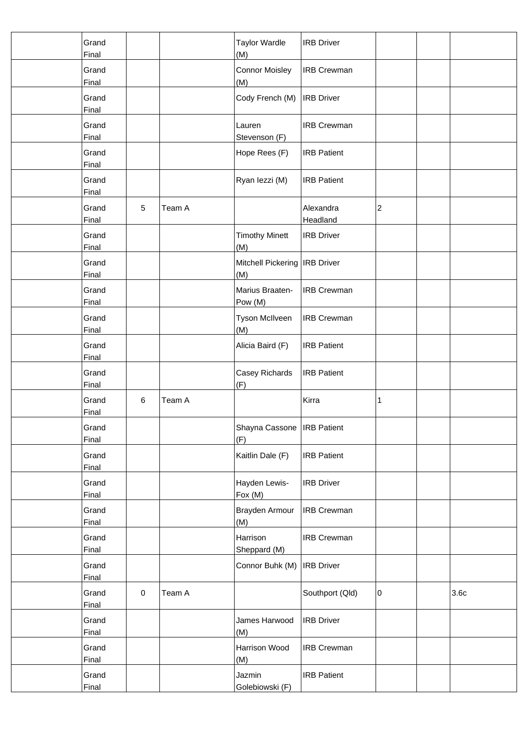| Grand<br>Final        |            |        | <b>Taylor Wardle</b><br>(M)            | <b>IRB</b> Driver     |                         |                  |
|-----------------------|------------|--------|----------------------------------------|-----------------------|-------------------------|------------------|
| Grand<br>Final        |            |        | <b>Connor Moisley</b><br>(M)           | <b>IRB Crewman</b>    |                         |                  |
| Grand<br>Final        |            |        | Cody French (M)                        | <b>IRB</b> Driver     |                         |                  |
| Grand<br>Final        |            |        | Lauren<br>Stevenson (F)                | <b>IRB Crewman</b>    |                         |                  |
| Grand<br>Final        |            |        | Hope Rees (F)                          | <b>IRB Patient</b>    |                         |                  |
| Grand<br>Final        |            |        | Ryan lezzi (M)                         | <b>IRB Patient</b>    |                         |                  |
| Grand<br>Final        | $\sqrt{5}$ | Team A |                                        | Alexandra<br>Headland | $\overline{\mathbf{c}}$ |                  |
| Grand<br>Final        |            |        | <b>Timothy Minett</b><br>(M)           | <b>IRB Driver</b>     |                         |                  |
| Grand<br>Final        |            |        | Mitchell Pickering   IRB Driver<br>(M) |                       |                         |                  |
| Grand<br>Final        |            |        | Marius Braaten-<br>Pow (M)             | <b>IRB Crewman</b>    |                         |                  |
| Grand<br>Final        |            |        | Tyson McIlveen<br>(M)                  | <b>IRB Crewman</b>    |                         |                  |
| Grand<br>Final        |            |        | Alicia Baird (F)                       | <b>IRB Patient</b>    |                         |                  |
| Grand<br>Final        |            |        | Casey Richards<br>(F)                  | <b>IRB</b> Patient    |                         |                  |
| Grand<br>Final        | 6          | Team A |                                        | Kirra                 | 1                       |                  |
| Grand<br>Final        |            |        | Shayna Cassone   IRB Patient<br>(F)    |                       |                         |                  |
| Grand<br>Final        |            |        | Kaitlin Dale (F)                       | <b>IRB Patient</b>    |                         |                  |
| Grand<br>Final        |            |        | Hayden Lewis-<br>Fox (M)               | <b>IRB Driver</b>     |                         |                  |
| Grand<br>Final        |            |        | Brayden Armour<br>(M)                  | <b>IRB Crewman</b>    |                         |                  |
| Grand<br>Final        |            |        | Harrison<br>Sheppard (M)               | <b>IRB Crewman</b>    |                         |                  |
| Grand<br>Final        |            |        | Connor Buhk (M)                        | <b>IRB</b> Driver     |                         |                  |
| Grand<br>Final        | $\pmb{0}$  | Team A |                                        | Southport (Qld)       | 0                       | 3.6 <sub>c</sub> |
| Grand<br>Final        |            |        | James Harwood<br>(M)                   | <b>IRB Driver</b>     |                         |                  |
| Grand<br><b>Final</b> |            |        | Harrison Wood<br>(M)                   | <b>IRB Crewman</b>    |                         |                  |
| Grand<br>Final        |            |        | Jazmin<br>Golebiowski (F)              | <b>IRB Patient</b>    |                         |                  |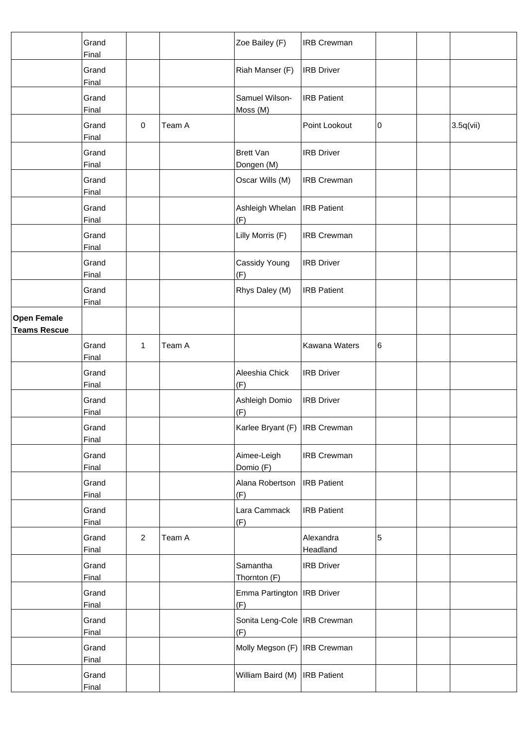|                                           | Grand<br>Final |                |        | Zoe Bailey (F)                        | <b>IRB Crewman</b>    |   |           |
|-------------------------------------------|----------------|----------------|--------|---------------------------------------|-----------------------|---|-----------|
|                                           | Grand<br>Final |                |        | Riah Manser (F)                       | <b>IRB Driver</b>     |   |           |
|                                           | Grand<br>Final |                |        | Samuel Wilson-<br>Moss (M)            | <b>IRB Patient</b>    |   |           |
|                                           | Grand<br>Final | 0              | Team A |                                       | Point Lookout         | 0 | 3.5q(vii) |
|                                           | Grand<br>Final |                |        | <b>Brett Van</b><br>Dongen (M)        | <b>IRB Driver</b>     |   |           |
|                                           | Grand<br>Final |                |        | Oscar Wills (M)                       | <b>IRB Crewman</b>    |   |           |
|                                           | Grand<br>Final |                |        | Ashleigh Whelan<br>(F)                | <b>IRB Patient</b>    |   |           |
|                                           | Grand<br>Final |                |        | Lilly Morris (F)                      | <b>IRB Crewman</b>    |   |           |
|                                           | Grand<br>Final |                |        | Cassidy Young<br>(F)                  | <b>IRB Driver</b>     |   |           |
|                                           | Grand<br>Final |                |        | Rhys Daley (M)                        | <b>IRB Patient</b>    |   |           |
| <b>Open Female</b><br><b>Teams Rescue</b> |                |                |        |                                       |                       |   |           |
|                                           | Grand<br>Final | $\mathbf{1}$   | Team A |                                       | Kawana Waters         | 6 |           |
|                                           | Grand<br>Final |                |        | Aleeshia Chick<br>(F)                 | <b>IRB Driver</b>     |   |           |
|                                           | Grand<br>Final |                |        | Ashleigh Domio<br>(F)                 | <b>IRB Driver</b>     |   |           |
|                                           | Grand<br>Final |                |        | Karlee Bryant (F)   IRB Crewman       |                       |   |           |
|                                           | Grand<br>Final |                |        | Aimee-Leigh<br>Domio (F)              | <b>IRB Crewman</b>    |   |           |
|                                           | Grand<br>Final |                |        | Alana Robertson<br>(F)                | <b>IRB</b> Patient    |   |           |
|                                           | Grand<br>Final |                |        | Lara Cammack<br>(F)                   | <b>IRB Patient</b>    |   |           |
|                                           | Grand<br>Final | $\overline{a}$ | Team A |                                       | Alexandra<br>Headland | 5 |           |
|                                           | Grand<br>Final |                |        | Samantha<br>Thornton (F)              | <b>IRB Driver</b>     |   |           |
|                                           | Grand<br>Final |                |        | Emma Partington   IRB Driver<br>(F)   |                       |   |           |
|                                           | Grand<br>Final |                |        | Sonita Leng-Cole   IRB Crewman<br>(F) |                       |   |           |
|                                           | Grand<br>Final |                |        | Molly Megson (F)   IRB Crewman        |                       |   |           |
|                                           | Grand<br>Final |                |        | William Baird (M)   IRB Patient       |                       |   |           |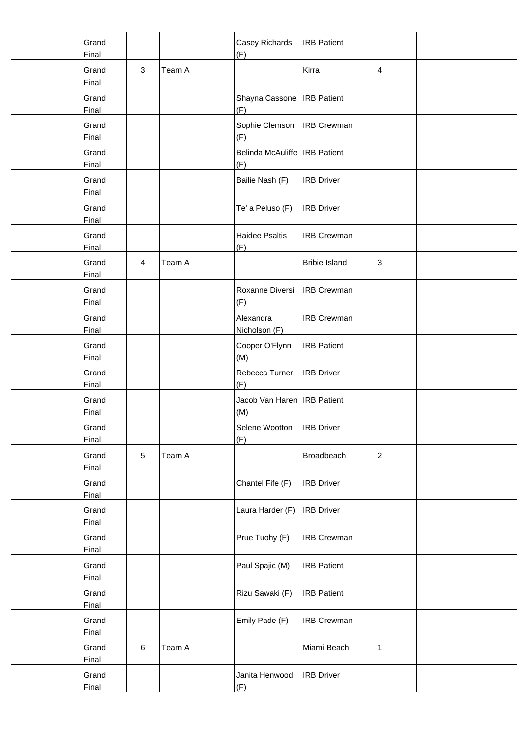| Grand<br>Final        |         |        | Casey Richards<br>(F)                  | <b>IRB Patient</b>   |                  |  |
|-----------------------|---------|--------|----------------------------------------|----------------------|------------------|--|
| Grand<br>Final        | 3       | Team A |                                        | Kirra                | 4                |  |
| Grand<br>Final        |         |        | Shayna Cassone   IRB Patient<br>(F)    |                      |                  |  |
| Grand<br>Final        |         |        | Sophie Clemson   IRB Crewman<br>(F)    |                      |                  |  |
| Grand<br>Final        |         |        | Belinda McAuliffe   IRB Patient<br>(F) |                      |                  |  |
| Grand<br>Final        |         |        | Bailie Nash (F)                        | <b>IRB Driver</b>    |                  |  |
| Grand<br>Final        |         |        | Te' a Peluso (F)                       | <b>IRB Driver</b>    |                  |  |
| Grand<br>Final        |         |        | <b>Haidee Psaltis</b><br>(F)           | <b>IRB Crewman</b>   |                  |  |
| Grand<br>Final        | 4       | Team A |                                        | <b>Bribie Island</b> | 3                |  |
| Grand<br>Final        |         |        | Roxanne Diversi<br>(F)                 | <b>IRB Crewman</b>   |                  |  |
| Grand<br>Final        |         |        | Alexandra<br>Nicholson (F)             | <b>IRB Crewman</b>   |                  |  |
| Grand<br><b>Final</b> |         |        | Cooper O'Flynn<br>(M)                  | <b>IRB Patient</b>   |                  |  |
| Grand<br>Final        |         |        | Rebecca Turner<br>(F)                  | <b>IRB Driver</b>    |                  |  |
| Grand<br>Final        |         |        | Jacob Van Haren   IRB Patient<br>(M)   |                      |                  |  |
| Grand<br>Final        |         |        | Selene Wootton<br>(F)                  | <b>IRB</b> Driver    |                  |  |
| Grand<br><b>Final</b> | 5       | Team A |                                        | Broadbeach           | $\boldsymbol{2}$ |  |
| Grand<br>Final        |         |        | Chantel Fife (F)                       | <b>IRB Driver</b>    |                  |  |
| Grand<br>Final        |         |        | Laura Harder (F)                       | <b>IRB Driver</b>    |                  |  |
| Grand<br>Final        |         |        | Prue Tuohy (F)                         | <b>IRB Crewman</b>   |                  |  |
| Grand<br>Final        |         |        | Paul Spajic (M)                        | <b>IRB Patient</b>   |                  |  |
| Grand<br>Final        |         |        | Rizu Sawaki (F)                        | <b>IRB Patient</b>   |                  |  |
| Grand<br><b>Final</b> |         |        | Emily Pade (F)                         | <b>IRB Crewman</b>   |                  |  |
| Grand<br><b>Final</b> | $\,6\,$ | Team A |                                        | Miami Beach          | $\mathbf{1}$     |  |
| Grand<br>Final        |         |        | Janita Henwood<br>(F)                  | <b>IRB Driver</b>    |                  |  |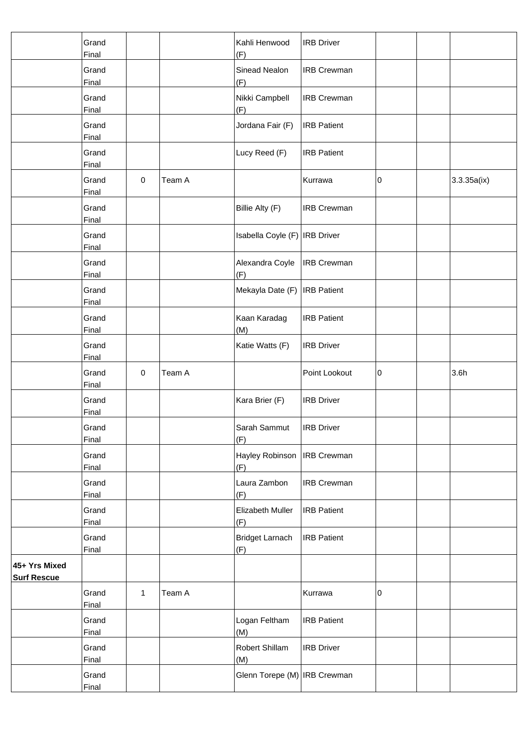|                                     | Grand<br>Final        |              |        | Kahli Henwood<br>(F)            | <b>IRB</b> Driver  |   |             |
|-------------------------------------|-----------------------|--------------|--------|---------------------------------|--------------------|---|-------------|
|                                     | Grand<br>Final        |              |        | Sinead Nealon<br>(F)            | <b>IRB Crewman</b> |   |             |
|                                     | Grand<br>Final        |              |        | Nikki Campbell<br>(F)           | <b>IRB Crewman</b> |   |             |
|                                     | Grand<br>Final        |              |        | Jordana Fair (F)                | <b>IRB Patient</b> |   |             |
|                                     | Grand<br>Final        |              |        | Lucy Reed (F)                   | <b>IRB Patient</b> |   |             |
|                                     | Grand<br>Final        | $\pmb{0}$    | Team A |                                 | Kurrawa            | 0 | 3.3.35a(ix) |
|                                     | Grand<br>Final        |              |        | Billie Alty (F)                 | <b>IRB Crewman</b> |   |             |
|                                     | Grand<br>Final        |              |        | Isabella Coyle (F)   IRB Driver |                    |   |             |
|                                     | Grand<br>Final        |              |        | Alexandra Coyle<br>(F)          | <b>IRB Crewman</b> |   |             |
|                                     | Grand<br>Final        |              |        | Mekayla Date (F)                | <b>IRB</b> Patient |   |             |
|                                     | Grand<br>Final        |              |        | Kaan Karadag<br>(M)             | <b>IRB Patient</b> |   |             |
|                                     | Grand<br>Final        |              |        | Katie Watts (F)                 | <b>IRB Driver</b>  |   |             |
|                                     | Grand<br>Final        | $\pmb{0}$    | Team A |                                 | Point Lookout      | 0 | 3.6h        |
|                                     | Grand<br>Final        |              |        | Kara Brier (F)                  | <b>IRB Driver</b>  |   |             |
|                                     | Grand<br>Final        |              |        | Sarah Sammut<br>(F)             | <b>IRB</b> Driver  |   |             |
|                                     | Grand<br>Final        |              |        | Hayley Robinson<br>(F)          | <b>IRB</b> Crewman |   |             |
|                                     | Grand<br>Final        |              |        | Laura Zambon<br>(F)             | <b>IRB Crewman</b> |   |             |
|                                     | Grand<br>Final        |              |        | Elizabeth Muller<br>(F)         | <b>IRB</b> Patient |   |             |
|                                     | Grand<br>Final        |              |        | <b>Bridget Larnach</b><br>(F)   | <b>IRB</b> Patient |   |             |
| 45+ Yrs Mixed<br><b>Surf Rescue</b> |                       |              |        |                                 |                    |   |             |
|                                     | Grand<br>Final        | $\mathbf{1}$ | Team A |                                 | Kurrawa            | 0 |             |
|                                     | Grand<br>Final        |              |        | Logan Feltham<br>(M)            | <b>IRB Patient</b> |   |             |
|                                     | Grand<br><b>Final</b> |              |        | Robert Shillam<br>(M)           | <b>IRB</b> Driver  |   |             |
|                                     | Grand<br>Final        |              |        | Glenn Torepe (M)   IRB Crewman  |                    |   |             |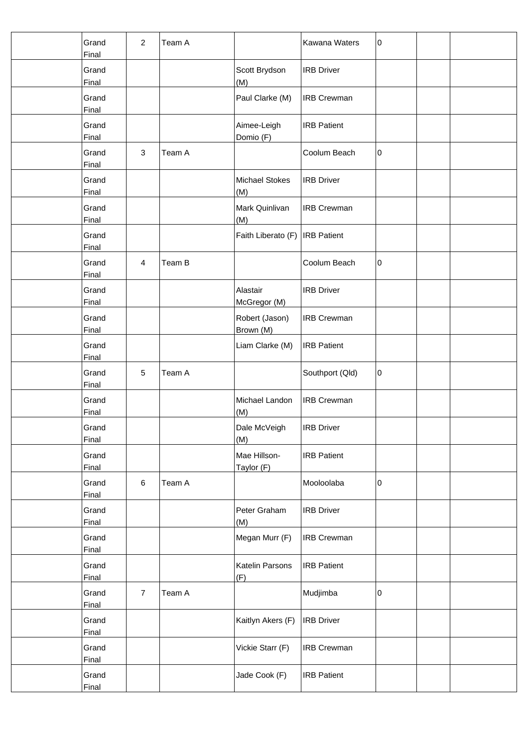| Grand<br>Final        | $\overline{2}$ | Team A |                             | Kawana Waters      | 0 |  |
|-----------------------|----------------|--------|-----------------------------|--------------------|---|--|
| Grand<br>Final        |                |        | Scott Brydson<br>(M)        | <b>IRB Driver</b>  |   |  |
| Grand<br>Final        |                |        | Paul Clarke (M)             | <b>IRB Crewman</b> |   |  |
| Grand<br>Final        |                |        | Aimee-Leigh<br>Domio (F)    | <b>IRB Patient</b> |   |  |
| Grand<br>Final        | $\mathbf 3$    | Team A |                             | Coolum Beach       | 0 |  |
| Grand<br>Final        |                |        | Michael Stokes<br>(M)       | <b>IRB Driver</b>  |   |  |
| Grand<br>Final        |                |        | Mark Quinlivan<br>(M)       | <b>IRB Crewman</b> |   |  |
| Grand<br>Final        |                |        | Faith Liberato (F)          | <b>IRB</b> Patient |   |  |
| Grand<br>Final        | 4              | Team B |                             | Coolum Beach       | 0 |  |
| Grand<br>Final        |                |        | Alastair<br>McGregor (M)    | <b>IRB Driver</b>  |   |  |
| Grand<br>Final        |                |        | Robert (Jason)<br>Brown (M) | <b>IRB Crewman</b> |   |  |
| Grand<br>Final        |                |        | Liam Clarke (M)             | <b>IRB Patient</b> |   |  |
| Grand<br>Final        | $\sqrt{5}$     | Team A |                             | Southport (Qld)    | 0 |  |
| Grand<br>Final        |                |        | Michael Landon<br>(M)       | <b>IRB Crewman</b> |   |  |
| Grand<br>Final        |                |        | Dale McVeigh<br>(M)         | <b>IRB Driver</b>  |   |  |
| Grand<br>Final        |                |        | Mae Hillson-<br>Taylor (F)  | <b>IRB Patient</b> |   |  |
| Grand<br>Final        | $\,6$          | Team A |                             | Mooloolaba         | 0 |  |
| Grand<br>Final        |                |        | Peter Graham<br>(M)         | <b>IRB</b> Driver  |   |  |
| Grand<br>Final        |                |        | Megan Murr (F)              | <b>IRB Crewman</b> |   |  |
| Grand<br>Final        |                |        | Katelin Parsons<br>(F)      | <b>IRB Patient</b> |   |  |
| Grand<br>Final        | $\overline{7}$ | Team A |                             | Mudjimba           | 0 |  |
| Grand<br>Final        |                |        | Kaitlyn Akers (F)           | <b>IRB</b> Driver  |   |  |
| Grand<br><b>Final</b> |                |        | Vickie Starr (F)            | <b>IRB Crewman</b> |   |  |
| Grand<br><b>Final</b> |                |        | Jade Cook (F)               | <b>IRB</b> Patient |   |  |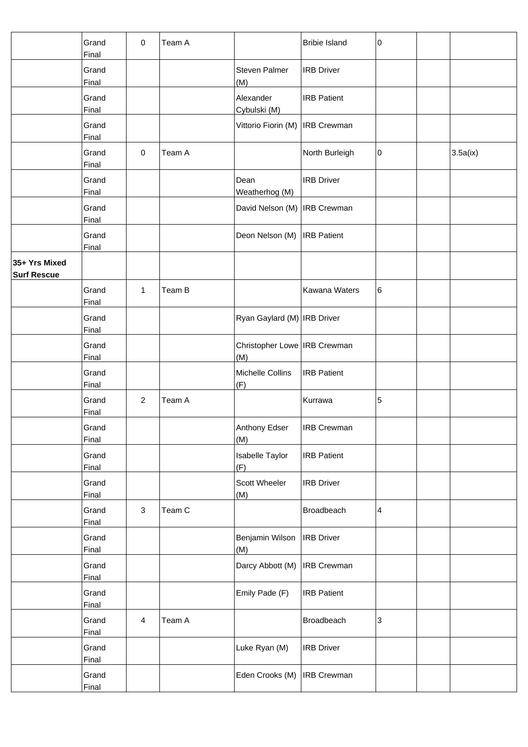|                                     | Grand<br>Final        | $\pmb{0}$      | Team A |                                       | <b>Bribie Island</b> | 0                       |          |
|-------------------------------------|-----------------------|----------------|--------|---------------------------------------|----------------------|-------------------------|----------|
|                                     | Grand<br>Final        |                |        | Steven Palmer<br>(M)                  | <b>IRB Driver</b>    |                         |          |
|                                     | Grand<br>Final        |                |        | Alexander<br>Cybulski (M)             | <b>IRB Patient</b>   |                         |          |
|                                     | Grand<br>Final        |                |        | Vittorio Fiorin (M)                   | <b>IRB Crewman</b>   |                         |          |
|                                     | Grand<br>Final        | $\mathbf 0$    | Team A |                                       | North Burleigh       | 0                       | 3.5a(ix) |
|                                     | Grand<br>Final        |                |        | Dean<br>Weatherhog (M)                | <b>IRB Driver</b>    |                         |          |
|                                     | Grand<br>Final        |                |        | David Nelson (M)   IRB Crewman        |                      |                         |          |
|                                     | Grand<br>Final        |                |        | Deon Nelson (M)                       | <b>IRB</b> Patient   |                         |          |
| 35+ Yrs Mixed<br><b>Surf Rescue</b> |                       |                |        |                                       |                      |                         |          |
|                                     | Grand<br>Final        | $\mathbf{1}$   | Team B |                                       | Kawana Waters        | 6                       |          |
|                                     | Grand<br>Final        |                |        | Ryan Gaylard (M)   IRB Driver         |                      |                         |          |
|                                     | Grand<br>Final        |                |        | Christopher Lowe   IRB Crewman<br>(M) |                      |                         |          |
|                                     | Grand<br>Final        |                |        | Michelle Collins<br>(F)               | <b>IRB Patient</b>   |                         |          |
|                                     | Grand<br>Final        | $\overline{2}$ | Team A |                                       | Kurrawa              | 5                       |          |
|                                     | Grand<br>Final        |                |        | Anthony Edser<br>(M)                  | <b>IRB Crewman</b>   |                         |          |
|                                     | Grand<br><b>Final</b> |                |        | <b>Isabelle Taylor</b><br>(F)         | <b>IRB Patient</b>   |                         |          |
|                                     | Grand<br>Final        |                |        | Scott Wheeler<br>(M)                  | <b>IRB Driver</b>    |                         |          |
|                                     | Grand<br>Final        | $\mathsf 3$    | Team C |                                       | Broadbeach           | $\overline{\mathbf{4}}$ |          |
|                                     | Grand<br><b>Final</b> |                |        | Benjamin Wilson<br>(M)                | <b>IRB</b> Driver    |                         |          |
|                                     | Grand<br>Final        |                |        | Darcy Abbott (M)                      | <b>IRB Crewman</b>   |                         |          |
|                                     | Grand<br>Final        |                |        | Emily Pade (F)                        | <b>IRB Patient</b>   |                         |          |
|                                     | Grand<br><b>Final</b> | $\overline{4}$ | Team A |                                       | Broadbeach           | 3                       |          |
|                                     | Grand<br>Final        |                |        | Luke Ryan (M)                         | <b>IRB Driver</b>    |                         |          |
|                                     | Grand<br>Final        |                |        | Eden Crooks (M)                       | <b>IRB Crewman</b>   |                         |          |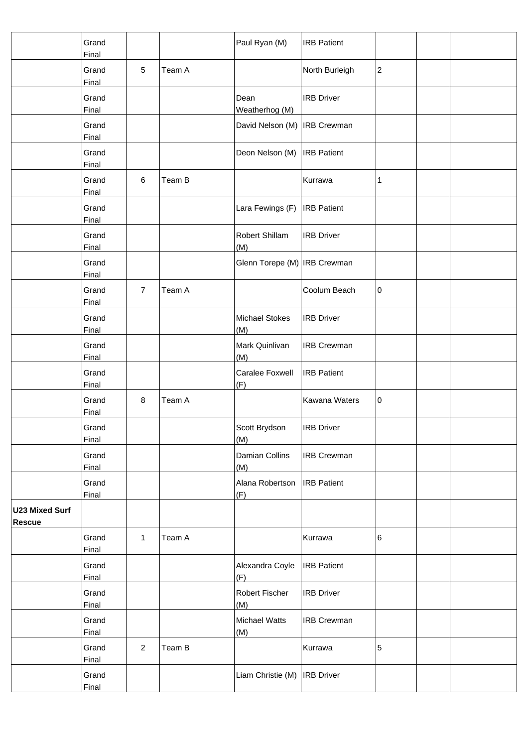|                                        | Grand<br>Final        |                |        | Paul Ryan (M)                  | <b>IRB</b> Patient |                         |  |
|----------------------------------------|-----------------------|----------------|--------|--------------------------------|--------------------|-------------------------|--|
|                                        | Grand<br>Final        | $\sqrt{5}$     | Team A |                                | North Burleigh     | $\overline{\mathbf{c}}$ |  |
|                                        | Grand<br>Final        |                |        | Dean<br>Weatherhog (M)         | <b>IRB Driver</b>  |                         |  |
|                                        | Grand<br>Final        |                |        | David Nelson (M)   IRB Crewman |                    |                         |  |
|                                        | Grand<br>Final        |                |        | Deon Nelson (M)                | <b>IRB</b> Patient |                         |  |
|                                        | Grand<br>Final        | $\,6$          | Team B |                                | Kurrawa            | 1                       |  |
|                                        | Grand<br>Final        |                |        | Lara Fewings (F)               | <b>IRB</b> Patient |                         |  |
|                                        | Grand<br>Final        |                |        | Robert Shillam<br>(M)          | <b>IRB Driver</b>  |                         |  |
|                                        | Grand<br>Final        |                |        | Glenn Torepe (M) IRB Crewman   |                    |                         |  |
|                                        | Grand<br>Final        | $\overline{7}$ | Team A |                                | Coolum Beach       | 0                       |  |
|                                        | Grand<br>Final        |                |        | Michael Stokes<br>(M)          | <b>IRB Driver</b>  |                         |  |
|                                        | Grand<br>Final        |                |        | Mark Quinlivan<br>(M)          | <b>IRB Crewman</b> |                         |  |
|                                        | Grand<br>Final        |                |        | Caralee Foxwell<br>(F)         | <b>IRB</b> Patient |                         |  |
|                                        | Grand<br>Final        | 8              | Team A |                                | Kawana Waters      | 0                       |  |
|                                        | Grand<br>Final        |                |        | Scott Brydson<br>(M)           | <b>IRB</b> Driver  |                         |  |
|                                        | Grand<br><b>Final</b> |                |        | Damian Collins<br>(M)          | <b>IRB Crewman</b> |                         |  |
|                                        | Grand<br>Final        |                |        | Alana Robertson<br>(F)         | <b>IRB</b> Patient |                         |  |
| <b>U23 Mixed Surf</b><br><b>Rescue</b> |                       |                |        |                                |                    |                         |  |
|                                        | Grand<br>Final        | 1              | Team A |                                | Kurrawa            | 6                       |  |
|                                        | Grand<br>Final        |                |        | Alexandra Coyle<br>(F)         | <b>IRB Patient</b> |                         |  |
|                                        | Grand<br>Final        |                |        | Robert Fischer<br>(M)          | <b>IRB Driver</b>  |                         |  |
|                                        | Grand<br><b>Final</b> |                |        | Michael Watts<br>(M)           | <b>IRB Crewman</b> |                         |  |
|                                        | Grand<br><b>Final</b> | $\overline{2}$ | Team B |                                | Kurrawa            | $\mathbf 5$             |  |
|                                        | Grand<br>Final        |                |        | Liam Christie (M)              | <b>IRB</b> Driver  |                         |  |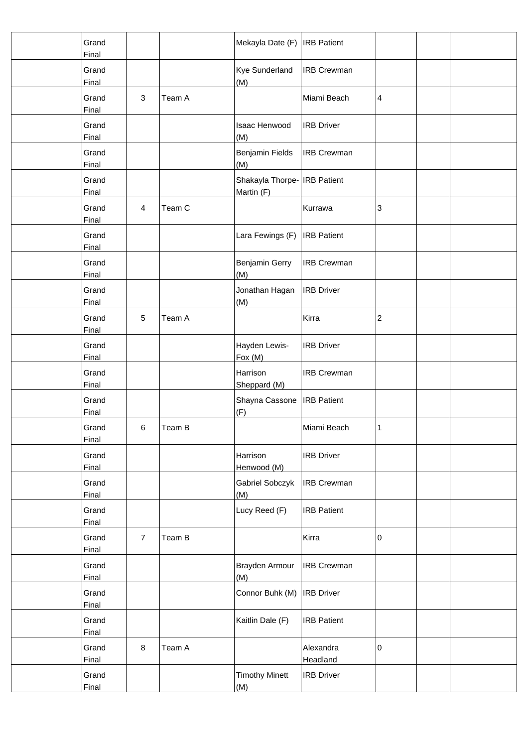| Grand<br>Final        |                           |        | Mekayla Date (F)   IRB Patient             |                       |   |  |
|-----------------------|---------------------------|--------|--------------------------------------------|-----------------------|---|--|
| Grand<br>Final        |                           |        | <b>Kye Sunderland</b><br>(M)               | <b>IRB Crewman</b>    |   |  |
| Grand<br>Final        | $\ensuremath{\mathsf{3}}$ | Team A |                                            | Miami Beach           | 4 |  |
| Grand<br>Final        |                           |        | Isaac Henwood<br>(M)                       | <b>IRB Driver</b>     |   |  |
| Grand<br>Final        |                           |        | Benjamin Fields<br>(M)                     | <b>IRB Crewman</b>    |   |  |
| Grand<br>Final        |                           |        | Shakayla Thorpe- IRB Patient<br>Martin (F) |                       |   |  |
| Grand<br>Final        | $\overline{4}$            | Team C |                                            | Kurrawa               | 3 |  |
| Grand<br>Final        |                           |        | Lara Fewings (F)                           | <b>IRB Patient</b>    |   |  |
| Grand<br>Final        |                           |        | <b>Benjamin Gerry</b><br>(M)               | <b>IRB Crewman</b>    |   |  |
| Grand<br>Final        |                           |        | Jonathan Hagan<br>(M)                      | <b>IRB Driver</b>     |   |  |
| Grand<br>Final        | 5                         | Team A |                                            | Kirra                 | 2 |  |
| Grand<br>Final        |                           |        | Hayden Lewis-<br>Fox (M)                   | <b>IRB Driver</b>     |   |  |
| Grand<br>Final        |                           |        | Harrison<br>Sheppard (M)                   | <b>IRB Crewman</b>    |   |  |
| Grand<br>Final        |                           |        | Shayna Cassone<br>(F)                      | <b>IRB</b> Patient    |   |  |
| Grand<br>Final        | 6                         | Team B |                                            | Miami Beach           | 1 |  |
| Grand<br>Final        |                           |        | Harrison<br>Henwood (M)                    | <b>IRB Driver</b>     |   |  |
| Grand<br>Final        |                           |        | Gabriel Sobczyk<br>(M)                     | <b>IRB Crewman</b>    |   |  |
| Grand<br>Final        |                           |        | Lucy Reed (F)                              | <b>IRB Patient</b>    |   |  |
| Grand<br>Final        | $\overline{7}$            | Team B |                                            | Kirra                 | 0 |  |
| Grand<br>Final        |                           |        | Brayden Armour<br>(M)                      | <b>IRB Crewman</b>    |   |  |
| Grand<br>Final        |                           |        | Connor Buhk (M)                            | <b>IRB Driver</b>     |   |  |
| Grand<br>Final        |                           |        | Kaitlin Dale (F)                           | <b>IRB Patient</b>    |   |  |
| Grand<br><b>Final</b> | 8                         | Team A |                                            | Alexandra<br>Headland | 0 |  |
| Grand<br>Final        |                           |        | <b>Timothy Minett</b><br>(M)               | <b>IRB Driver</b>     |   |  |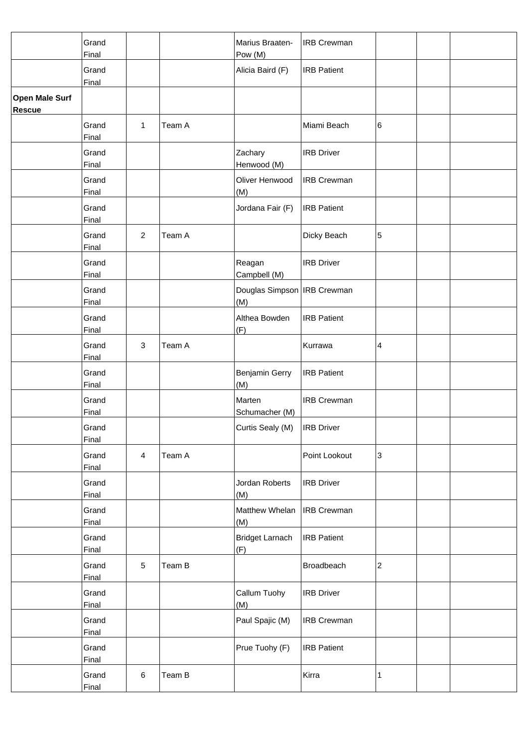|                                        | Grand<br>Final        |                |        | Marius Braaten-<br>Pow (M)           | <b>IRB Crewman</b> |                           |  |
|----------------------------------------|-----------------------|----------------|--------|--------------------------------------|--------------------|---------------------------|--|
|                                        | Grand<br>Final        |                |        | Alicia Baird (F)                     | <b>IRB Patient</b> |                           |  |
| <b>Open Male Surf</b><br><b>Rescue</b> |                       |                |        |                                      |                    |                           |  |
|                                        | Grand<br>Final        | 1              | Team A |                                      | Miami Beach        | 6                         |  |
|                                        | Grand<br>Final        |                |        | Zachary<br>Henwood (M)               | <b>IRB Driver</b>  |                           |  |
|                                        | Grand<br>Final        |                |        | Oliver Henwood<br>(M)                | <b>IRB Crewman</b> |                           |  |
|                                        | Grand<br>Final        |                |        | Jordana Fair (F)                     | <b>IRB Patient</b> |                           |  |
|                                        | Grand<br>Final        | $\overline{2}$ | Team A |                                      | Dicky Beach        | 5                         |  |
|                                        | Grand<br>Final        |                |        | Reagan<br>Campbell (M)               | <b>IRB Driver</b>  |                           |  |
|                                        | Grand<br>Final        |                |        | Douglas Simpson   IRB Crewman<br>(M) |                    |                           |  |
|                                        | Grand<br>Final        |                |        | Althea Bowden<br>(F)                 | <b>IRB Patient</b> |                           |  |
|                                        | Grand<br>Final        | $\mathbf{3}$   | Team A |                                      | Kurrawa            | 4                         |  |
|                                        | Grand<br>Final        |                |        | Benjamin Gerry<br>(M)                | <b>IRB Patient</b> |                           |  |
|                                        | Grand<br>Final        |                |        | Marten<br>Schumacher (M)             | <b>IRB Crewman</b> |                           |  |
|                                        | Grand<br>Final        |                |        | Curtis Sealy (M)                     | <b>IRB</b> Driver  |                           |  |
|                                        | Grand<br><b>Final</b> | $\overline{4}$ | Team A |                                      | Point Lookout      | $\ensuremath{\mathsf{3}}$ |  |
|                                        | Grand<br>Final        |                |        | Jordan Roberts<br>(M)                | <b>IRB Driver</b>  |                           |  |
|                                        | Grand<br>Final        |                |        | Matthew Whelan<br>(M)                | <b>IRB</b> Crewman |                           |  |
|                                        | Grand<br>Final        |                |        | <b>Bridget Larnach</b><br>(F)        | <b>IRB Patient</b> |                           |  |
|                                        | Grand<br>Final        | $\sqrt{5}$     | Team B |                                      | Broadbeach         | $\overline{\mathbf{c}}$   |  |
|                                        | Grand<br>Final        |                |        | Callum Tuohy<br>(M)                  | <b>IRB Driver</b>  |                           |  |
|                                        | Grand<br><b>Final</b> |                |        | Paul Spajic (M)                      | <b>IRB Crewman</b> |                           |  |
|                                        | Grand<br><b>Final</b> |                |        | Prue Tuohy (F)                       | <b>IRB Patient</b> |                           |  |
|                                        | Grand<br>Final        | 6              | Team B |                                      | Kirra              | 1                         |  |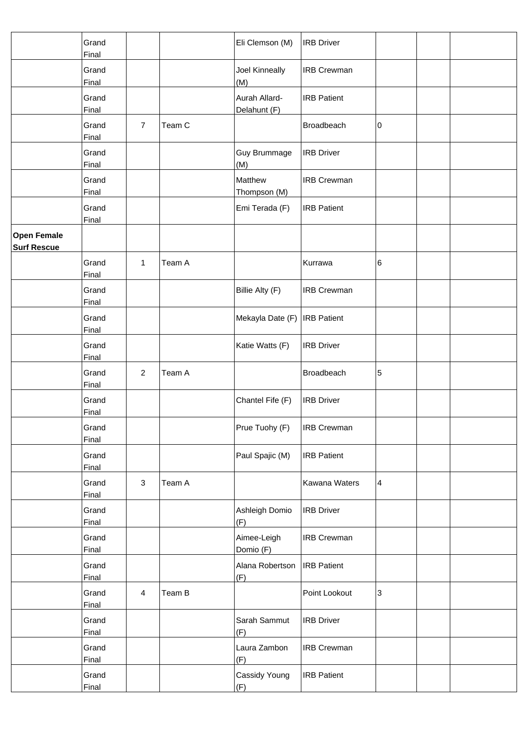|                                          | Grand<br>Final        |                |        | Eli Clemson (M)               | <b>IRB Driver</b>  |   |  |
|------------------------------------------|-----------------------|----------------|--------|-------------------------------|--------------------|---|--|
|                                          | Grand<br>Final        |                |        | Joel Kinneally<br>(M)         | <b>IRB Crewman</b> |   |  |
|                                          | Grand<br>Final        |                |        | Aurah Allard-<br>Delahunt (F) | <b>IRB Patient</b> |   |  |
|                                          | Grand<br>Final        | $\overline{7}$ | Team C |                               | Broadbeach         | 0 |  |
|                                          | Grand<br>Final        |                |        | <b>Guy Brummage</b><br>(M)    | <b>IRB Driver</b>  |   |  |
|                                          | Grand<br>Final        |                |        | Matthew<br>Thompson (M)       | <b>IRB Crewman</b> |   |  |
|                                          | Grand<br>Final        |                |        | Emi Terada (F)                | <b>IRB Patient</b> |   |  |
| <b>Open Female</b><br><b>Surf Rescue</b> |                       |                |        |                               |                    |   |  |
|                                          | Grand<br>Final        | 1              | Team A |                               | Kurrawa            | 6 |  |
|                                          | Grand<br>Final        |                |        | Billie Alty (F)               | <b>IRB Crewman</b> |   |  |
|                                          | Grand<br>Final        |                |        | Mekayla Date (F)              | <b>IRB</b> Patient |   |  |
|                                          | Grand<br><b>Final</b> |                |        | Katie Watts (F)               | <b>IRB Driver</b>  |   |  |
|                                          | Grand<br>Final        | $\overline{2}$ | Team A |                               | Broadbeach         | 5 |  |
|                                          | Grand<br>Final        |                |        | Chantel Fife (F)              | <b>IRB Driver</b>  |   |  |
|                                          | Grand<br>Final        |                |        | Prue Tuohy (F)                | <b>IRB Crewman</b> |   |  |
|                                          | Grand<br><b>Final</b> |                |        | Paul Spajic (M)               | <b>IRB Patient</b> |   |  |
|                                          | Grand<br>Final        | $\sqrt{3}$     | Team A |                               | Kawana Waters      | 4 |  |
|                                          | Grand<br>Final        |                |        | Ashleigh Domio<br>(F)         | <b>IRB Driver</b>  |   |  |
|                                          | Grand<br>Final        |                |        | Aimee-Leigh<br>Domio (F)      | <b>IRB Crewman</b> |   |  |
|                                          | Grand<br>Final        |                |        | Alana Robertson<br>(F)        | <b>IRB Patient</b> |   |  |
|                                          | Grand<br>Final        | $\overline{4}$ | Team B |                               | Point Lookout      | 3 |  |
|                                          | Grand<br><b>Final</b> |                |        | Sarah Sammut<br>(F)           | <b>IRB Driver</b>  |   |  |
|                                          | Grand<br><b>Final</b> |                |        | Laura Zambon<br>(F)           | <b>IRB Crewman</b> |   |  |
|                                          | Grand<br>Final        |                |        | Cassidy Young<br>(F)          | <b>IRB Patient</b> |   |  |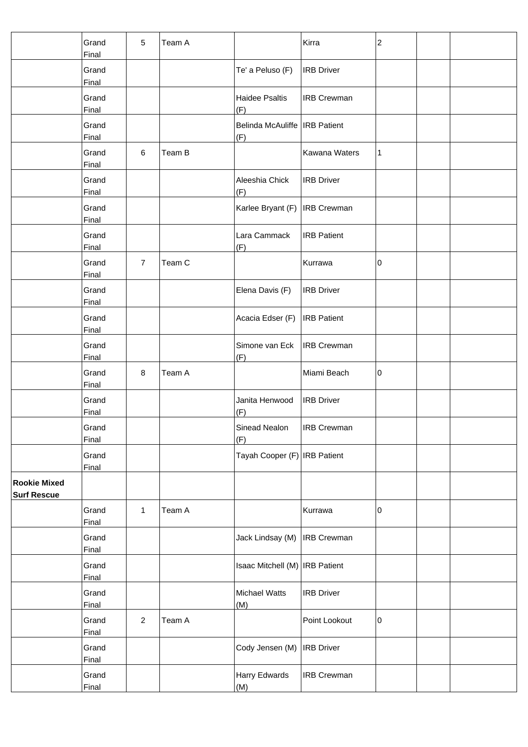|                                           | Grand<br>Final        | 5              | Team A |                                        | Kirra              | $\overline{\mathbf{c}}$ |  |
|-------------------------------------------|-----------------------|----------------|--------|----------------------------------------|--------------------|-------------------------|--|
|                                           | Grand<br>Final        |                |        | Te' a Peluso (F)                       | <b>IRB</b> Driver  |                         |  |
|                                           | Grand<br><b>Final</b> |                |        | <b>Haidee Psaltis</b><br>(F)           | <b>IRB Crewman</b> |                         |  |
|                                           | Grand<br>Final        |                |        | Belinda McAuliffe   IRB Patient<br>(F) |                    |                         |  |
|                                           | Grand<br>Final        | $\,6$          | Team B |                                        | Kawana Waters      | 1                       |  |
|                                           | Grand<br>Final        |                |        | Aleeshia Chick<br>(F)                  | <b>IRB Driver</b>  |                         |  |
|                                           | Grand<br>Final        |                |        | Karlee Bryant (F)                      | <b>IRB Crewman</b> |                         |  |
|                                           | Grand<br>Final        |                |        | Lara Cammack<br>(F)                    | <b>IRB Patient</b> |                         |  |
|                                           | Grand<br>Final        | $\overline{7}$ | Team C |                                        | Kurrawa            | 0                       |  |
|                                           | Grand<br>Final        |                |        | Elena Davis (F)                        | <b>IRB Driver</b>  |                         |  |
|                                           | Grand<br>Final        |                |        | Acacia Edser (F)                       | <b>IRB</b> Patient |                         |  |
|                                           | Grand<br>Final        |                |        | Simone van Eck<br>(F)                  | <b>IRB Crewman</b> |                         |  |
|                                           | Grand<br>Final        | 8              | Team A |                                        | Miami Beach        | 0                       |  |
|                                           | Grand<br>Final        |                |        | Janita Henwood<br>(F)                  | <b>IRB Driver</b>  |                         |  |
|                                           | Grand<br>Final        |                |        | Sinead Nealon<br>(F)                   | <b>IRB Crewman</b> |                         |  |
|                                           | Grand<br>Final        |                |        | Tayah Cooper (F) IRB Patient           |                    |                         |  |
| <b>Rookie Mixed</b><br><b>Surf Rescue</b> |                       |                |        |                                        |                    |                         |  |
|                                           | Grand<br>Final        | $\mathbf{1}$   | Team A |                                        | Kurrawa            | 0                       |  |
|                                           | Grand<br>Final        |                |        | Jack Lindsay (M)                       | <b>IRB Crewman</b> |                         |  |
|                                           | Grand<br>Final        |                |        | Isaac Mitchell (M)   IRB Patient       |                    |                         |  |
|                                           | Grand<br>Final        |                |        | Michael Watts<br>(M)                   | <b>IRB</b> Driver  |                         |  |
|                                           | Grand<br>Final        | $\overline{2}$ | Team A |                                        | Point Lookout      | 0                       |  |
|                                           | Grand<br><b>Final</b> |                |        | Cody Jensen (M)                        | <b>IRB</b> Driver  |                         |  |
|                                           | Grand<br>Final        |                |        | Harry Edwards<br>(M)                   | <b>IRB Crewman</b> |                         |  |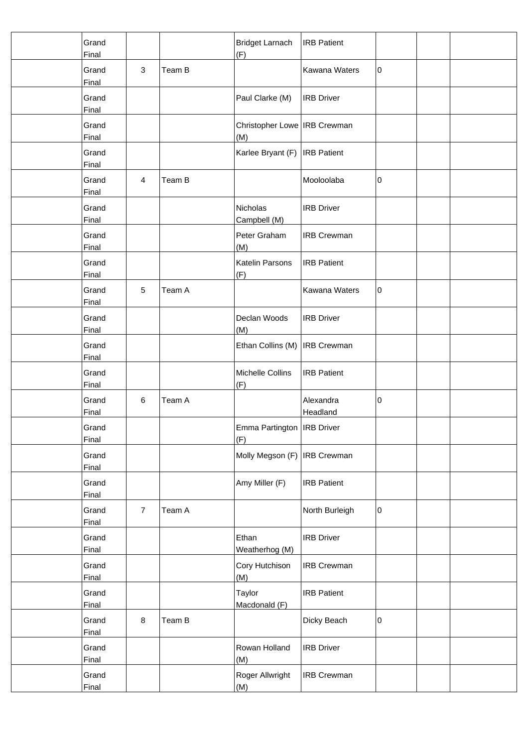| Grand<br>Final        |                |        | <b>Bridget Larnach</b><br>(F)         | <b>IRB</b> Patient    |             |  |
|-----------------------|----------------|--------|---------------------------------------|-----------------------|-------------|--|
| Grand<br>Final        | 3              | Team B |                                       | Kawana Waters         | 0           |  |
| Grand<br>Final        |                |        | Paul Clarke (M)                       | <b>IRB Driver</b>     |             |  |
| Grand<br>Final        |                |        | Christopher Lowe   IRB Crewman<br>(M) |                       |             |  |
| Grand<br>Final        |                |        | Karlee Bryant (F)                     | <b>IRB</b> Patient    |             |  |
| Grand<br>Final        | $\overline{4}$ | Team B |                                       | Mooloolaba            | 0           |  |
| Grand<br>Final        |                |        | Nicholas<br>Campbell (M)              | <b>IRB Driver</b>     |             |  |
| Grand<br>Final        |                |        | Peter Graham<br>(M)                   | <b>IRB Crewman</b>    |             |  |
| Grand<br>Final        |                |        | Katelin Parsons<br>(F)                | <b>IRB Patient</b>    |             |  |
| Grand<br>Final        | $\sqrt{5}$     | Team A |                                       | Kawana Waters         | 0           |  |
| Grand<br>Final        |                |        | Declan Woods<br>(M)                   | <b>IRB Driver</b>     |             |  |
| Grand<br>Final        |                |        | Ethan Collins (M)                     | <b>IRB</b> Crewman    |             |  |
| Grand<br>Final        |                |        | Michelle Collins<br>(F)               | <b>IRB Patient</b>    |             |  |
| Grand<br>Final        | 6              | Team A |                                       | Alexandra<br>Headland | 0           |  |
| Grand<br>Final        |                |        | Emma Partington   IRB Driver<br>(F)   |                       |             |  |
| Grand<br>Final        |                |        | Molly Megson (F)                      | <b>IRB</b> Crewman    |             |  |
| Grand<br>Final        |                |        | Amy Miller (F)                        | <b>IRB Patient</b>    |             |  |
| Grand<br>Final        | $\overline{7}$ | Team A |                                       | North Burleigh        | $\mathbf 0$ |  |
| Grand<br>Final        |                |        | Ethan<br>Weatherhog (M)               | <b>IRB Driver</b>     |             |  |
| Grand<br>Final        |                |        | Cory Hutchison<br>(M)                 | <b>IRB Crewman</b>    |             |  |
| Grand<br>Final        |                |        | Taylor<br>Macdonald (F)               | <b>IRB Patient</b>    |             |  |
| Grand<br>Final        | 8              | Team B |                                       | Dicky Beach           | 0           |  |
| Grand<br><b>Final</b> |                |        | Rowan Holland<br>(M)                  | <b>IRB Driver</b>     |             |  |
| Grand<br>Final        |                |        | Roger Allwright<br>(M)                | <b>IRB Crewman</b>    |             |  |